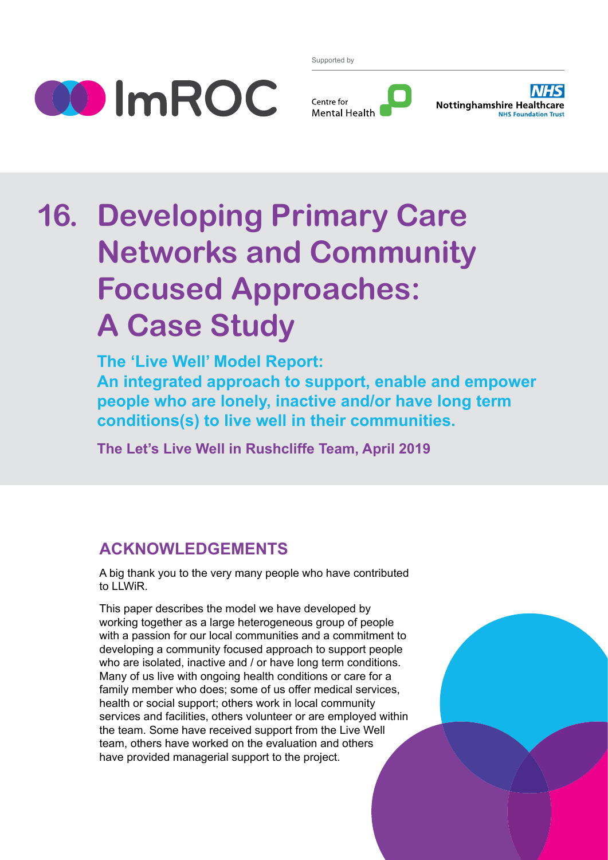

Supported by





# **16. Developing Primary Care Networks and Community Focused Approaches: A Case Study**

**The 'Live Well' Model Report: An integrated approach to support, enable and empower people who are lonely, inactive and/or have long term conditions(s) to live well in their communities.** 

**The Let's Live Well in Rushcliffe Team, April 2019**

# **Acknowledgements**

A big thank you to the very many people who have contributed to LLWiR.

This paper describes the model we have developed by working together as a large heterogeneous group of people with a passion for our local communities and a commitment to developing a community focused approach to support people who are isolated, inactive and / or have long term conditions. Many of us live with ongoing health conditions or care for a family member who does; some of us offer medical services, health or social support; others work in local community services and facilities, others volunteer or are employed within the team. Some have received support from the Live Well team, others have worked on the evaluation and others have provided managerial support to the project.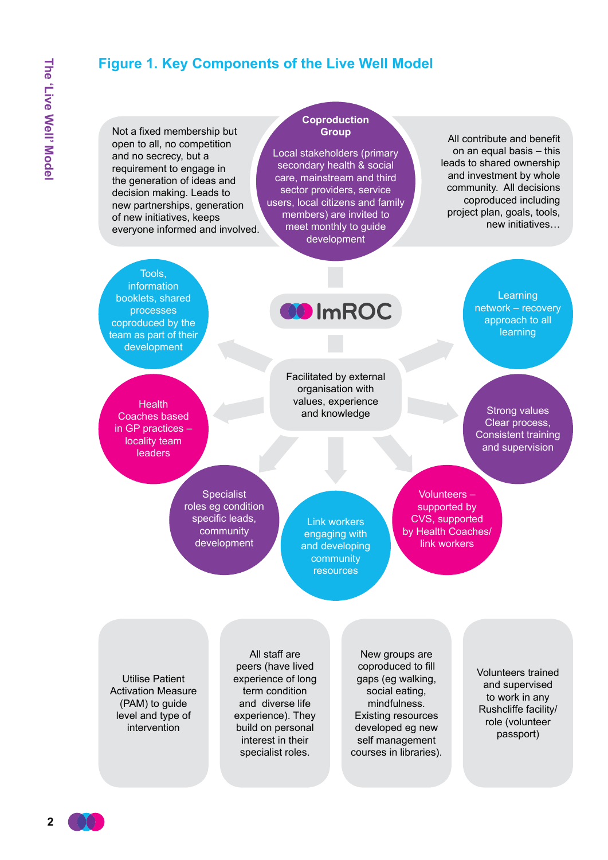# The 'Live Well' Mode **2The 'Live Well' Model**

# **Figure 1. Key Components of the Live Well Model**

Not a fixed membership but open to all, no competition and no secrecy, but a requirement to engage in the generation of ideas and decision making. Leads to new partnerships, generation of new initiatives, keeps everyone informed and involved.

#### **Coproduction Group**

Local stakeholders (primary secondary health & social care, mainstream and third sector providers, service users, local citizens and family members) are invited to meet monthly to guide development

All contribute and benefit on an equal basis – this leads to shared ownership and investment by whole community. All decisions coproduced including project plan, goals, tools, new initiatives…

#### Tools,

information booklets, shared processes coproduced by the team as part of their development

**BO** ImROC

Facilitated by external organisation with values, experience and knowledge

**Learning** network – recovery approach to all learning

Strong values Clear process, Consistent training and supervision

**Health** Coaches based in GP practices – locality team leaders

> **Specialist** roles eg condition specific leads, community development

Link workers engaging with and developing community resources

Volunteers – supported by CVS, supported by Health Coaches/ link workers

Utilise Patient Activation Measure (PAM) to guide level and type of intervention

All staff are peers (have lived experience of long term condition and diverse life experience). They build on personal interest in their specialist roles.

New groups are coproduced to fill gaps (eg walking, social eating, mindfulness. Existing resources developed eg new self management courses in libraries).

Volunteers trained and supervised to work in any Rushcliffe facility/ role (volunteer passport)

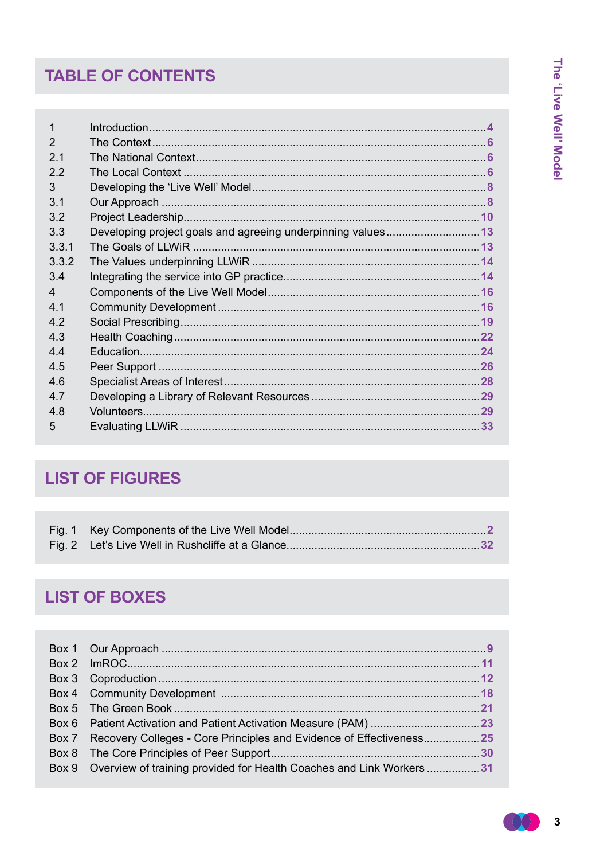# The 'Live Well' Model

# **TABLE OF CONTENTS**

| 1              |  |
|----------------|--|
| $\mathcal{P}$  |  |
| 2.1            |  |
| 2.2            |  |
| 3              |  |
| 3.1            |  |
| 32             |  |
| 3.3            |  |
| 3.3.1          |  |
| 3.3.2          |  |
| 3.4            |  |
| $\overline{4}$ |  |
| 4.1            |  |
| 4.2            |  |
| 4.3            |  |
| 44             |  |
| 4.5            |  |
| 46             |  |
| 4.7            |  |
| 48             |  |
| 5              |  |

# **LIST OF FIGURES**

# **LIST OF BOXES**

| Box 7 Recovery Colleges - Core Principles and Evidence of Effectiveness25  |  |
|----------------------------------------------------------------------------|--|
|                                                                            |  |
| Box 9 Overview of training provided for Health Coaches and Link Workers 31 |  |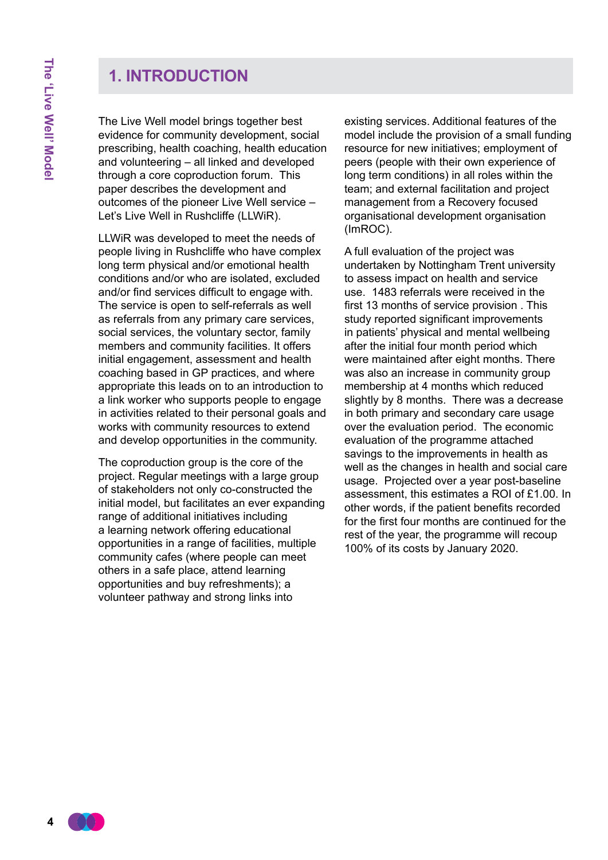# **1. Introduction**

The Live Well model brings together best evidence for community development, social prescribing, health coaching, health education and volunteering – all linked and developed through a core coproduction forum. This paper describes the development and outcomes of the pioneer Live Well service – Let's Live Well in Rushcliffe (LLWiR).

LLWiR was developed to meet the needs of people living in Rushcliffe who have complex long term physical and/or emotional health conditions and/or who are isolated, excluded and/or find services difficult to engage with. The service is open to self-referrals as well as referrals from any primary care services, social services, the voluntary sector, family members and community facilities. It offers initial engagement, assessment and health coaching based in GP practices, and where appropriate this leads on to an introduction to a link worker who supports people to engage in activities related to their personal goals and works with community resources to extend and develop opportunities in the community.

The coproduction group is the core of the project. Regular meetings with a large group of stakeholders not only co-constructed the initial model, but facilitates an ever expanding range of additional initiatives including a learning network offering educational opportunities in a range of facilities, multiple community cafes (where people can meet others in a safe place, attend learning opportunities and buy refreshments); a volunteer pathway and strong links into

existing services. Additional features of the model include the provision of a small funding resource for new initiatives; employment of peers (people with their own experience of long term conditions) in all roles within the team; and external facilitation and project management from a Recovery focused organisational development organisation (ImROC).

A full evaluation of the project was undertaken by Nottingham Trent university to assess impact on health and service use. 1483 referrals were received in the first 13 months of service provision . This study reported significant improvements in patients' physical and mental wellbeing after the initial four month period which were maintained after eight months. There was also an increase in community group membership at 4 months which reduced slightly by 8 months. There was a decrease in both primary and secondary care usage over the evaluation period. The economic evaluation of the programme attached savings to the improvements in health as well as the changes in health and social care usage. Projected over a year post-baseline assessment, this estimates a ROI of £1.00. In other words, if the patient benefits recorded for the first four months are continued for the rest of the year, the programme will recoup 100% of its costs by January 2020.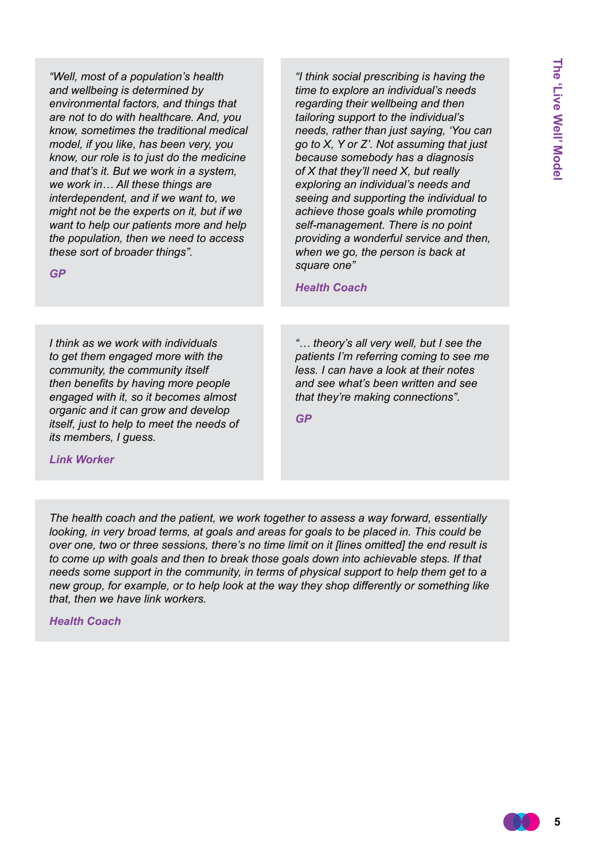*"Well, most of a population's health and wellbeing is determined by environmental factors, and things that are not to do with healthcare. And, you know, sometimes the traditional medical model, if you like, has been very, you know, our role is to just do the medicine and that's it. But we work in a system, we work in… All these things are interdependent, and if we want to, we might not be the experts on it, but if we want to help our patients more and help the population, then we need to access these sort of broader things".* 

*GP*

*"I think social prescribing is having the time to explore an individual's needs regarding their wellbeing and then tailoring support to the individual's needs, rather than just saying, 'You can go to X, Y or Z'. Not assuming that just because somebody has a diagnosis of X that they'll need X, but really exploring an individual's needs and seeing and supporting the individual to achieve those goals while promoting self-management. There is no point providing a wonderful service and then, when we go, the person is back at square one"* 

#### *Health Coach*

*I think as we work with individuals to get them engaged more with the community, the community itself then benefits by having more people engaged with it, so it becomes almost organic and it can grow and develop itself, just to help to meet the needs of its members, I guess.* 

*"… theory's all very well, but I see the patients I'm referring coming to see me less. I can have a look at their notes and see what's been written and see that they're making connections".* 

*GP*

#### *Link Worker*

*The health coach and the patient, we work together to assess a way forward, essentially looking, in very broad terms, at goals and areas for goals to be placed in. This could be over one, two or three sessions, there's no time limit on it [lines omitted] the end result is to come up with goals and then to break those goals down into achievable steps. If that needs some support in the community, in terms of physical support to help them get to a new group, for example, or to help look at the way they shop differently or something like that, then we have link workers.* 

*Health Coach*

# 5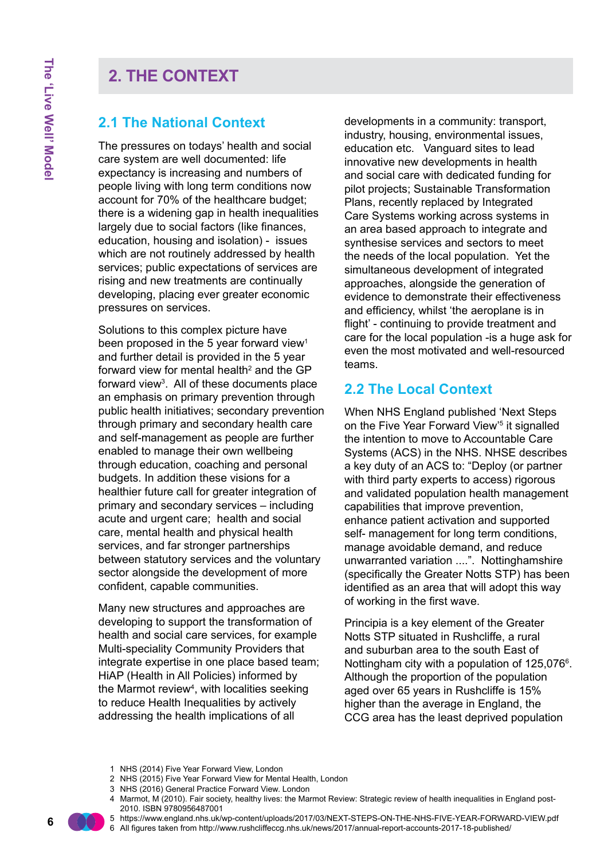# **2. The Context**

#### **2.1 The National Context**

The pressures on todays' health and social care system are well documented: life expectancy is increasing and numbers of people living with long term conditions now account for 70% of the healthcare budget; there is a widening gap in health inequalities largely due to social factors (like finances, education, housing and isolation) - issues which are not routinely addressed by health services; public expectations of services are rising and new treatments are continually developing, placing ever greater economic pressures on services.

Solutions to this complex picture have been proposed in the 5 year forward view<sup>1</sup> and further detail is provided in the 5 year forward view for mental health<sup>2</sup> and the GP forward view<sup>3</sup>. All of these documents place an emphasis on primary prevention through public health initiatives; secondary prevention through primary and secondary health care and self-management as people are further enabled to manage their own wellbeing through education, coaching and personal budgets. In addition these visions for a healthier future call for greater integration of primary and secondary services – including acute and urgent care; health and social care, mental health and physical health services, and far stronger partnerships between statutory services and the voluntary sector alongside the development of more confident, capable communities.

Many new structures and approaches are developing to support the transformation of health and social care services, for example Multi-speciality Community Providers that integrate expertise in one place based team; HiAP (Health in All Policies) informed by the Marmot review<sup>4</sup>, with localities seeking to reduce Health Inequalities by actively addressing the health implications of all

developments in a community: transport, industry, housing, environmental issues, education etc. Vanguard sites to lead innovative new developments in health and social care with dedicated funding for pilot projects; Sustainable Transformation Plans, recently replaced by Integrated Care Systems working across systems in an area based approach to integrate and synthesise services and sectors to meet the needs of the local population. Yet the simultaneous development of integrated approaches, alongside the generation of evidence to demonstrate their effectiveness and efficiency, whilst 'the aeroplane is in flight' - continuing to provide treatment and care for the local population -is a huge ask for even the most motivated and well-resourced teams.

#### **2.2 The Local Context**

When NHS England published 'Next Steps on the Five Year Forward View'<sup>5</sup> it signalled the intention to move to Accountable Care Systems (ACS) in the NHS. NHSE describes a key duty of an ACS to: "Deploy (or partner with third party experts to access) rigorous and validated population health management capabilities that improve prevention, enhance patient activation and supported self- management for long term conditions, manage avoidable demand, and reduce unwarranted variation ....". Nottinghamshire (specifically the Greater Notts STP) has been identified as an area that will adopt this way of working in the first wave.

Principia is a key element of the Greater Notts STP situated in Rushcliffe, a rural and suburban area to the south East of Nottingham city with a population of 125,076<sup>6</sup>. Although the proportion of the population aged over 65 years in Rushcliffe is 15% higher than the average in England, the CCG area has the least deprived population

- 2 NHS (2015) Five Year Forward View for Mental Health, London
- 3 NHS (2016) General Practice Forward View. London

5 https://www.england.nhs.uk/wp-content/uploads/2017/03/NEXT-STEPS-ON-THE-NHS-FIVE-YEAR-FORWARD-VIEW.pdf



<sup>1</sup> NHS (2014) Five Year Forward View, London

<sup>4</sup> Marmot, M (2010). Fair society, healthy lives: the Marmot Review: Strategic review of health inequalities in England post-2010. ISBN 9780956487001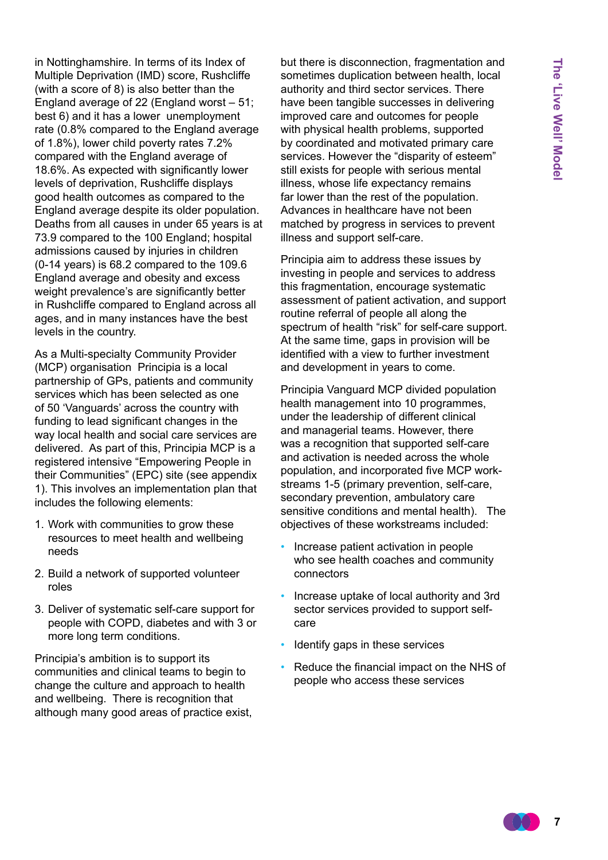in Nottinghamshire. In terms of its Index of Multiple Deprivation (IMD) score, Rushcliffe (with a score of 8) is also better than the England average of 22 (England worst – 51; best 6) and it has a lower unemployment rate (0.8% compared to the England average of 1.8%), lower child poverty rates 7.2% compared with the England average of 18.6%. As expected with significantly lower levels of deprivation, Rushcliffe displays good health outcomes as compared to the England average despite its older population. Deaths from all causes in under 65 years is at 73.9 compared to the 100 England; hospital admissions caused by injuries in children (0-14 years) is 68.2 compared to the 109.6 England average and obesity and excess weight prevalence's are significantly better in Rushcliffe compared to England across all ages, and in many instances have the best levels in the country.

As a Multi-specialty Community Provider (MCP) organisation Principia is a local partnership of GPs, patients and community services which has been selected as one of 50 'Vanguards' across the country with funding to lead significant changes in the way local health and social care services are delivered. As part of this, Principia MCP is a registered intensive "Empowering People in their Communities" (EPC) site (see appendix 1). This involves an implementation plan that includes the following elements:

- 1. Work with communities to grow these resources to meet health and wellbeing needs
- 2. Build a network of supported volunteer roles
- 3. Deliver of systematic self-care support for people with COPD, diabetes and with 3 or more long term conditions.

Principia's ambition is to support its communities and clinical teams to begin to change the culture and approach to health and wellbeing. There is recognition that although many good areas of practice exist, but there is disconnection, fragmentation and sometimes duplication between health, local authority and third sector services. There have been tangible successes in delivering improved care and outcomes for people with physical health problems, supported by coordinated and motivated primary care services. However the "disparity of esteem" still exists for people with serious mental illness, whose life expectancy remains far lower than the rest of the population. Advances in healthcare have not been matched by progress in services to prevent illness and support self-care.

Principia aim to address these issues by investing in people and services to address this fragmentation, encourage systematic assessment of patient activation, and support routine referral of people all along the spectrum of health "risk" for self-care support. At the same time, gaps in provision will be identified with a view to further investment and development in years to come.

Principia Vanguard MCP divided population health management into 10 programmes, under the leadership of different clinical and managerial teams. However, there was a recognition that supported self-care and activation is needed across the whole population, and incorporated five MCP workstreams 1-5 (primary prevention, self-care, secondary prevention, ambulatory care sensitive conditions and mental health). The objectives of these workstreams included:

- Increase patient activation in people who see health coaches and community connectors
- Increase uptake of local authority and 3rd sector services provided to support selfcare
- Identify gaps in these services
- Reduce the financial impact on the NHS of people who access these services

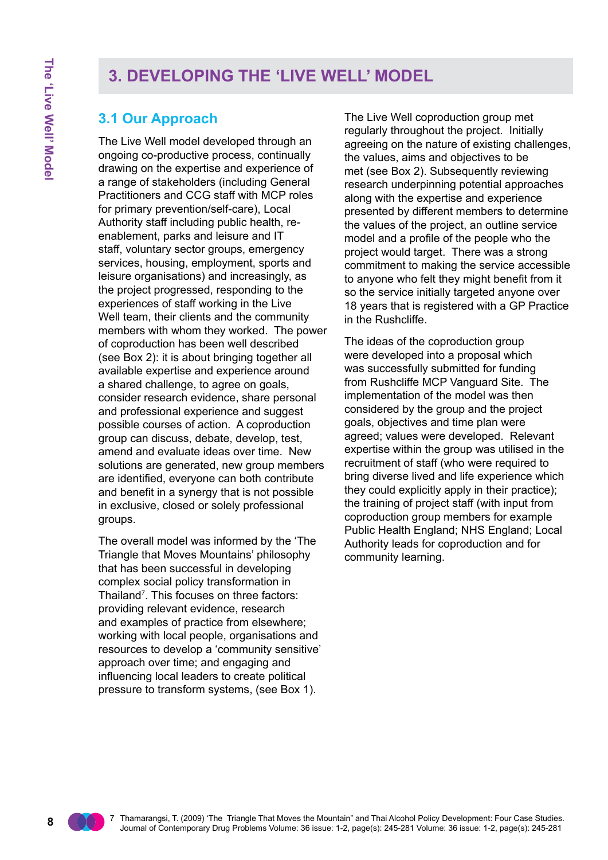# **3. Developing the 'Live Well' Model**

#### **3.1 Our Approach**

The Live Well model developed through an ongoing co-productive process, continually drawing on the expertise and experience of a range of stakeholders (including General Practitioners and CCG staff with MCP roles for primary prevention/self-care), Local Authority staff including public health, reenablement, parks and leisure and IT staff, voluntary sector groups, emergency services, housing, employment, sports and leisure organisations) and increasingly, as the project progressed, responding to the experiences of staff working in the Live Well team, their clients and the community members with whom they worked. The power of coproduction has been well described (see Box 2): it is about bringing together all available expertise and experience around a shared challenge, to agree on goals, consider research evidence, share personal and professional experience and suggest possible courses of action. A coproduction group can discuss, debate, develop, test, amend and evaluate ideas over time. New solutions are generated, new group members are identified, everyone can both contribute and benefit in a synergy that is not possible in exclusive, closed or solely professional groups.

The overall model was informed by the 'The Triangle that Moves Mountains' philosophy that has been successful in developing complex social policy transformation in Thailand7 . This focuses on three factors: providing relevant evidence, research and examples of practice from elsewhere; working with local people, organisations and resources to develop a 'community sensitive' approach over time; and engaging and influencing local leaders to create political pressure to transform systems, (see Box 1).

The Live Well coproduction group met regularly throughout the project. Initially agreeing on the nature of existing challenges, the values, aims and objectives to be met (see Box 2). Subsequently reviewing research underpinning potential approaches along with the expertise and experience presented by different members to determine the values of the project, an outline service model and a profile of the people who the project would target. There was a strong commitment to making the service accessible to anyone who felt they might benefit from it so the service initially targeted anyone over 18 years that is registered with a GP Practice in the Rushcliffe.

The ideas of the coproduction group were developed into a proposal which was successfully submitted for funding from Rushcliffe MCP Vanguard Site. The implementation of the model was then considered by the group and the project goals, objectives and time plan were agreed; values were developed. Relevant expertise within the group was utilised in the recruitment of staff (who were required to bring diverse lived and life experience which they could explicitly apply in their practice); the training of project staff (with input from coproduction group members for example Public Health England; NHS England; Local Authority leads for coproduction and for community learning.

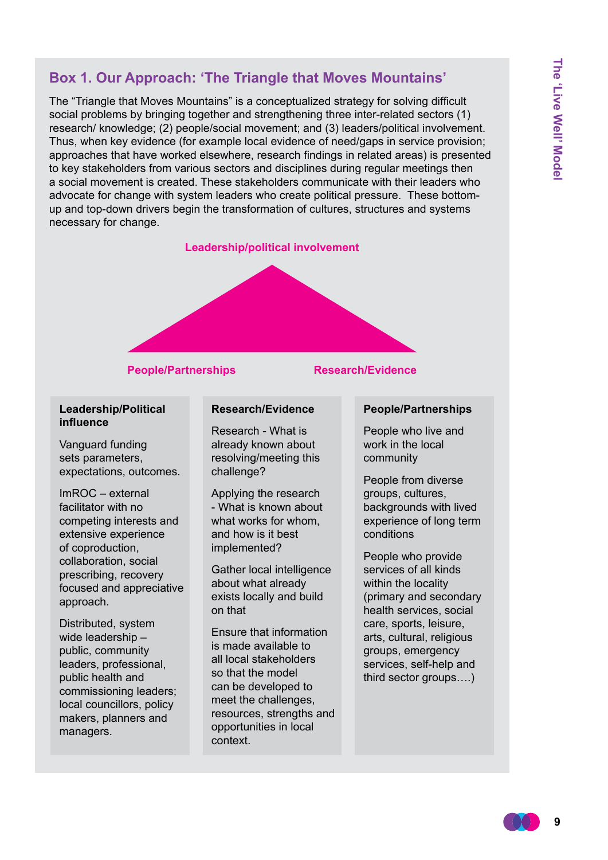## **Box 1. Our Approach: 'The Triangle that Moves Mountains'**

The "Triangle that Moves Mountains" is a conceptualized strategy for solving difficult social problems by bringing together and strengthening three inter-related sectors (1) research/ knowledge; (2) people/social movement; and (3) leaders/political involvement. Thus, when key evidence (for example local evidence of need/gaps in service provision; approaches that have worked elsewhere, research findings in related areas) is presented to key stakeholders from various sectors and disciplines during regular meetings then a social movement is created. These stakeholders communicate with their leaders who advocate for change with system leaders who create political pressure. These bottomup and top-down drivers begin the transformation of cultures, structures and systems necessary for change.





#### **People/Partnerships Research/Evidence**

#### **Leadership/Political influence**

Vanguard funding sets parameters, expectations, outcomes.

ImROC – external facilitator with no competing interests and extensive experience of coproduction, collaboration, social prescribing, recovery focused and appreciative approach.

Distributed, system wide leadership – public, community leaders, professional, public health and commissioning leaders; local councillors, policy makers, planners and managers.

#### **Research/Evidence**

Research - What is already known about resolving/meeting this challenge?

Applying the research - What is known about what works for whom. and how is it best implemented?

Gather local intelligence about what already exists locally and build on that

Ensure that information is made available to all local stakeholders so that the model can be developed to meet the challenges, resources, strengths and opportunities in local context.

#### **People/Partnerships**

People who live and work in the local community

People from diverse groups, cultures, backgrounds with lived experience of long term conditions

People who provide services of all kinds within the locality (primary and secondary health services, social care, sports, leisure, arts, cultural, religious groups, emergency services, self-help and third sector groups….)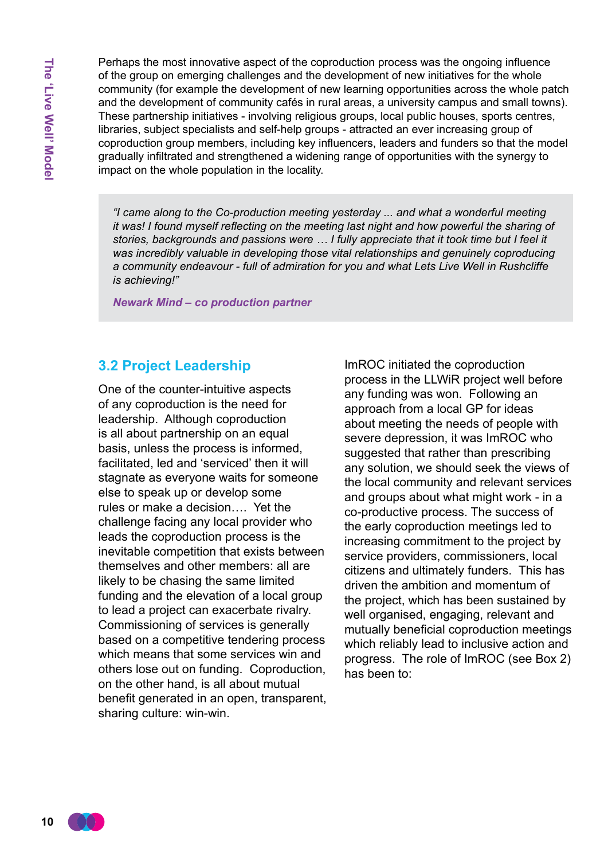Perhaps the most innovative aspect of the coproduction process was the ongoing influence of the group on emerging challenges and the development of new initiatives for the whole community (for example the development of new learning opportunities across the whole patch and the development of community cafés in rural areas, a university campus and small towns). These partnership initiatives - involving religious groups, local public houses, sports centres, libraries, subject specialists and self-help groups - attracted an ever increasing group of coproduction group members, including key influencers, leaders and funders so that the model gradually infiltrated and strengthened a widening range of opportunities with the synergy to impact on the whole population in the locality.

*"I came along to the Co-production meeting yesterday ... and what a wonderful meeting it was! I found myself reflecting on the meeting last night and how powerful the sharing of stories, backgrounds and passions were … I fully appreciate that it took time but I feel it*  was incredibly valuable in developing those vital relationships and genuinely coproducing *a community endeavour - full of admiration for you and what Lets Live Well in Rushcliffe is achieving!"* 

*Newark Mind – co production partner* 

# **3.2 Project Leadership**

One of the counter-intuitive aspects of any coproduction is the need for leadership. Although coproduction is all about partnership on an equal basis, unless the process is informed, facilitated, led and 'serviced' then it will stagnate as everyone waits for someone else to speak up or develop some rules or make a decision…. Yet the challenge facing any local provider who leads the coproduction process is the inevitable competition that exists between themselves and other members: all are likely to be chasing the same limited funding and the elevation of a local group to lead a project can exacerbate rivalry. Commissioning of services is generally based on a competitive tendering process which means that some services win and others lose out on funding. Coproduction, on the other hand, is all about mutual benefit generated in an open, transparent, sharing culture: win-win.

ImROC initiated the coproduction process in the LLWiR project well before any funding was won. Following an approach from a local GP for ideas about meeting the needs of people with severe depression, it was ImROC who suggested that rather than prescribing any solution, we should seek the views of the local community and relevant services and groups about what might work - in a co-productive process. The success of the early coproduction meetings led to increasing commitment to the project by service providers, commissioners, local citizens and ultimately funders. This has driven the ambition and momentum of the project, which has been sustained by well organised, engaging, relevant and mutually beneficial coproduction meetings which reliably lead to inclusive action and progress. The role of ImROC (see Box 2) has been to:

10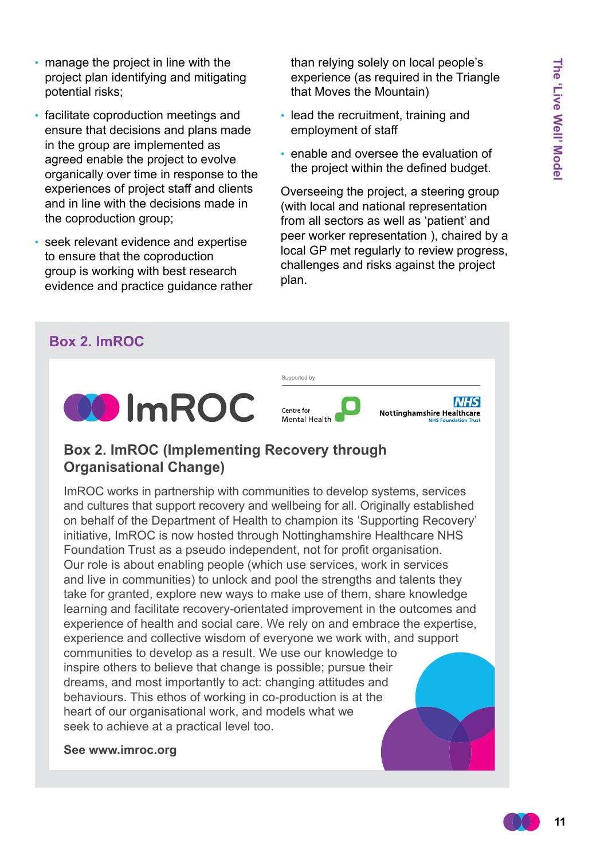- manage the project in line with the project plan identifying and mitigating potential risks;
- facilitate coproduction meetings and ensure that decisions and plans made in the group are implemented as agreed enable the project to evolve organically over time in response to the experiences of project staff and clients and in line with the decisions made in the coproduction group;
- seek relevant evidence and expertise to ensure that the coproduction group is working with best research evidence and practice guidance rather

than relying solely on local people's experience (as required in the Triangle that Moves the Mountain)

- lead the recruitment, training and employment of staff
- enable and oversee the evaluation of the project within the defined budget.

Overseeing the project, a steering group (with local and national representation from all sectors as well as 'patient' and peer worker representation ), chaired by a local GP met regularly to review progress, challenges and risks against the project plan.

#### **Box 2. ImROC**



Centre for Mental Health

Supported by





#### **Box 2. ImROC (Implementing Recovery through Organisational Change)**

ImROC works in partnership with communities to develop systems, services and cultures that support recovery and wellbeing for all. Originally established on behalf of the Department of Health to champion its 'Supporting Recovery' initiative, ImROC is now hosted through Nottinghamshire Healthcare NHS Foundation Trust as a pseudo independent, not for profit organisation. Our role is about enabling people (which use services, work in services and live in communities) to unlock and pool the strengths and talents they take for granted, explore new ways to make use of them, share knowledge learning and facilitate recovery-orientated improvement in the outcomes and experience of health and social care. We rely on and embrace the expertise, experience and collective wisdom of everyone we work with, and support communities to develop as a result. We use our knowledge to inspire others to believe that change is possible; pursue their dreams, and most importantly to act: changing attitudes and behaviours. This ethos of working in co-production is at the heart of our organisational work, and models what we seek to achieve at a practical level too.

#### **See www.imroc.org**

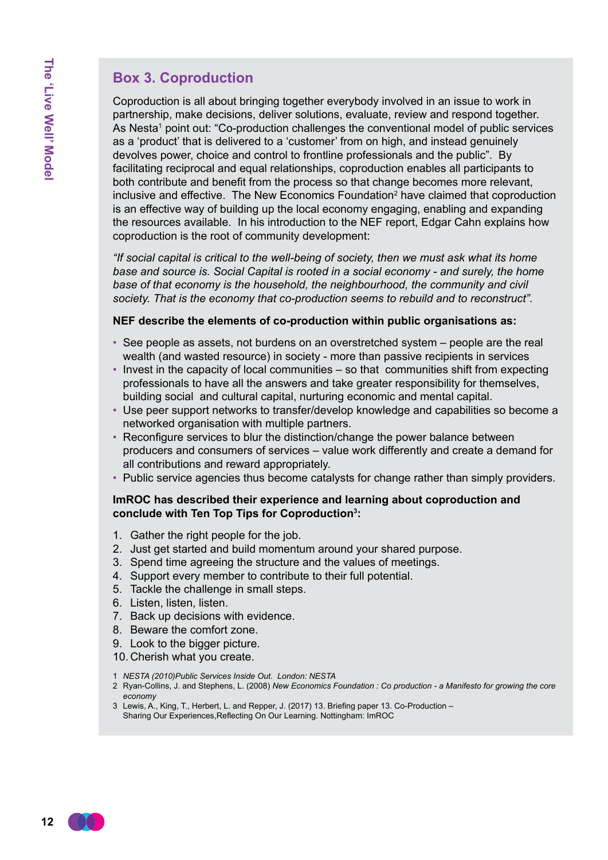## **Box 3. Coproduction**

Coproduction is all about bringing together everybody involved in an issue to work in partnership, make decisions, deliver solutions, evaluate, review and respond together. As Nesta<sup>1</sup> point out: "Co-production challenges the conventional model of public services as a 'product' that is delivered to a 'customer' from on high, and instead genuinely devolves power, choice and control to frontline professionals and the public". By facilitating reciprocal and equal relationships, coproduction enables all participants to both contribute and benefit from the process so that change becomes more relevant, inclusive and effective. The New Economics Foundation<sup>2</sup> have claimed that coproduction is an effective way of building up the local economy engaging, enabling and expanding the resources available. In his introduction to the NEF report, Edgar Cahn explains how coproduction is the root of community development:

*"If social capital is critical to the well-being of society, then we must ask what its home base and source is. Social Capital is rooted in a social economy - and surely, the home base of that economy is the household, the neighbourhood, the community and civil society. That is the economy that co-production seems to rebuild and to reconstruct".*

#### **NEF describe the elements of co-production within public organisations as:**

- See people as assets, not burdens on an overstretched system people are the real wealth (and wasted resource) in society - more than passive recipients in services
- Invest in the capacity of local communities so that communities shift from expecting professionals to have all the answers and take greater responsibility for themselves, building social and cultural capital, nurturing economic and mental capital.
- Use peer support networks to transfer/develop knowledge and capabilities so become a networked organisation with multiple partners.
- Reconfigure services to blur the distinction/change the power balance between producers and consumers of services – value work differently and create a demand for all contributions and reward appropriately.
- Public service agencies thus become catalysts for change rather than simply providers.

#### **ImROC has described their experience and learning about coproduction and conclude with Ten Top Tips for Coproduction3 :**

- 1. Gather the right people for the job.
- 2. Just get started and build momentum around your shared purpose.
- 3. Spend time agreeing the structure and the values of meetings.
- 4. Support every member to contribute to their full potential.
- 5. Tackle the challenge in small steps.
- 6. Listen, listen, listen.
- 7. Back up decisions with evidence.
- 8. Beware the comfort zone.
- 9. Look to the bigger picture.
- 10. Cherish what you create.
- 1 *NESTA (2010)Public Services Inside Out. London: NESTA*
- 2 Ryan-Collins, J. and Stephens, L. (2008) *New Economics Foundation : Co production a Manifesto for growing the core economy*
- 3 Lewis, A., King, T., Herbert, L. and Repper, J. (2017) 13. Briefing paper 13. Co-Production Sharing Our Experiences,Reflecting On Our Learning. Nottingham: ImROC

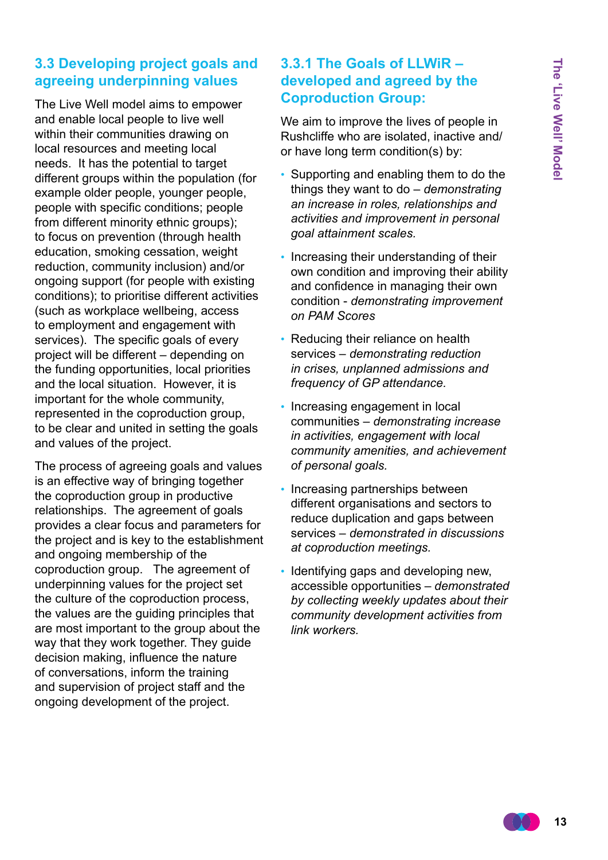# **3.3 Developing project goals and agreeing underpinning values**

The Live Well model aims to empower and enable local people to live well within their communities drawing on local resources and meeting local needs. It has the potential to target different groups within the population (for example older people, younger people, people with specific conditions; people from different minority ethnic groups); to focus on prevention (through health education, smoking cessation, weight reduction, community inclusion) and/or ongoing support (for people with existing conditions); to prioritise different activities (such as workplace wellbeing, access to employment and engagement with services). The specific goals of every project will be different – depending on the funding opportunities, local priorities and the local situation. However, it is important for the whole community, represented in the coproduction group, to be clear and united in setting the goals and values of the project.

The process of agreeing goals and values is an effective way of bringing together the coproduction group in productive relationships. The agreement of goals provides a clear focus and parameters for the project and is key to the establishment and ongoing membership of the coproduction group. The agreement of underpinning values for the project set the culture of the coproduction process, the values are the guiding principles that are most important to the group about the way that they work together. They guide decision making, influence the nature of conversations, inform the training and supervision of project staff and the ongoing development of the project.

# **3.3.1 The Goals of LLWiR – developed and agreed by the Coproduction Group:**

We aim to improve the lives of people in Rushcliffe who are isolated, inactive and/ or have long term condition(s) by:

- Supporting and enabling them to do the things they want to do – *demonstrating an increase in roles, relationships and activities and improvement in personal goal attainment scales.*
- Increasing their understanding of their own condition and improving their ability and confidence in managing their own condition - *demonstrating improvement on PAM Scores*
- Reducing their reliance on health services – *demonstrating reduction in crises, unplanned admissions and frequency of GP attendance.*
- Increasing engagement in local communities – *demonstrating increase in activities, engagement with local community amenities, and achievement of personal goals.*
- Increasing partnerships between different organisations and sectors to reduce duplication and gaps between services – *demonstrated in discussions at coproduction meetings.*
- Identifying gaps and developing new, accessible opportunities – *demonstrated by collecting weekly updates about their community development activities from link workers.*

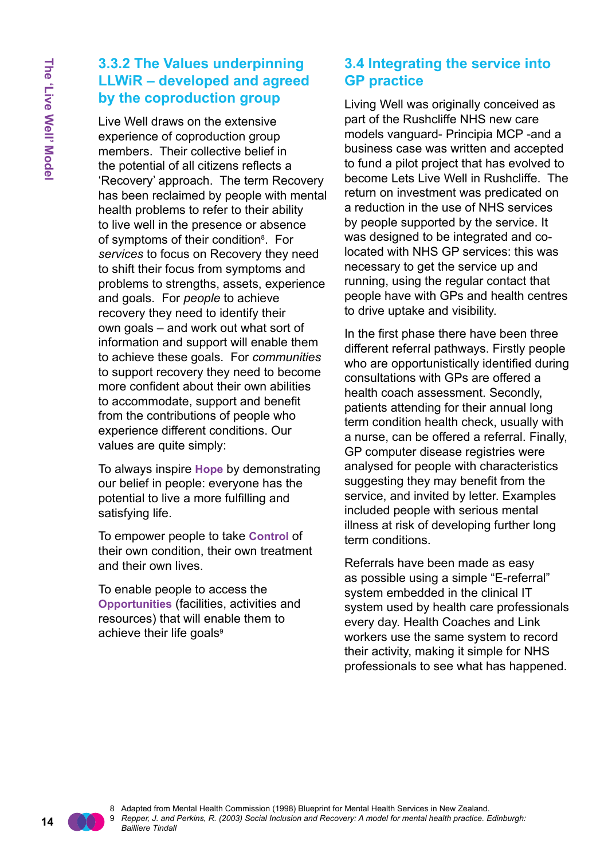# **3.3.2 The Values underpinning LLWiR – developed and agreed by the coproduction group**

Live Well draws on the extensive experience of coproduction group members. Their collective belief in the potential of all citizens reflects a 'Recovery' approach. The term Recovery has been reclaimed by people with mental health problems to refer to their ability to live well in the presence or absence of symptoms of their condition<sup>8</sup>. For *services* to focus on Recovery they need to shift their focus from symptoms and problems to strengths, assets, experience and goals. For *people* to achieve recovery they need to identify their own goals – and work out what sort of information and support will enable them to achieve these goals. For *communities* to support recovery they need to become more confident about their own abilities to accommodate, support and benefit from the contributions of people who experience different conditions. Our values are quite simply:

To always inspire **Hope** by demonstrating our belief in people: everyone has the potential to live a more fulfilling and satisfying life.

To empower people to take **Control** of their own condition, their own treatment and their own lives.

To enable people to access the **Opportunities** (facilities, activities and resources) that will enable them to achieve their life goals<sup>9</sup>

# **3.4 Integrating the service into GP practice**

Living Well was originally conceived as part of the Rushcliffe NHS new care models vanguard- Principia MCP -and a business case was written and accepted to fund a pilot project that has evolved to become Lets Live Well in Rushcliffe. The return on investment was predicated on a reduction in the use of NHS services by people supported by the service. It was designed to be integrated and colocated with NHS GP services: this was necessary to get the service up and running, using the regular contact that people have with GPs and health centres to drive uptake and visibility.

In the first phase there have been three different referral pathways. Firstly people who are opportunistically identified during consultations with GPs are offered a health coach assessment. Secondly, patients attending for their annual long term condition health check, usually with a nurse, can be offered a referral. Finally, GP computer disease registries were analysed for people with characteristics suggesting they may benefit from the service, and invited by letter. Examples included people with serious mental illness at risk of developing further long term conditions.

Referrals have been made as easy as possible using a simple "E-referral" system embedded in the clinical IT system used by health care professionals every day. Health Coaches and Link workers use the same system to record their activity, making it simple for NHS professionals to see what has happened.



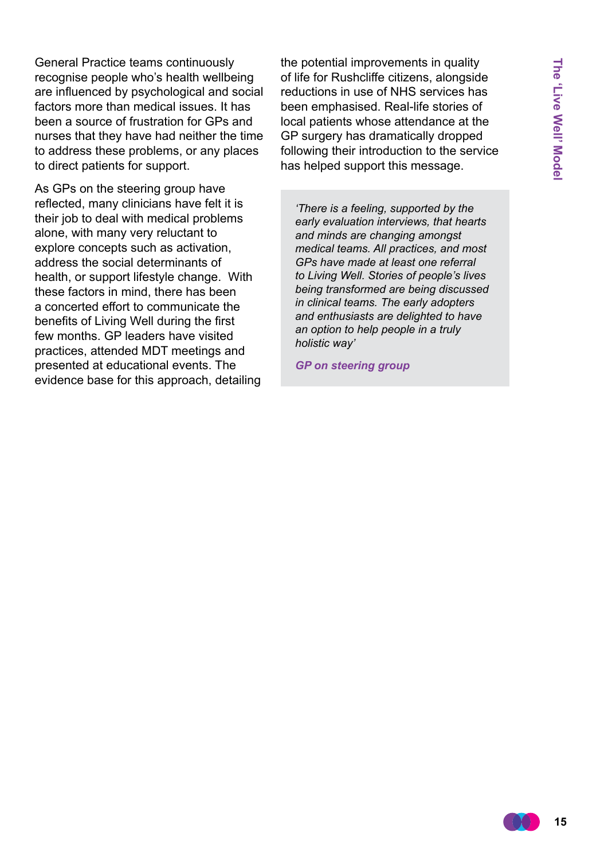General Practice teams continuously recognise people who's health wellbeing are influenced by psychological and social factors more than medical issues. It has been a source of frustration for GPs and nurses that they have had neither the time to address these problems, or any places to direct patients for support.

As GPs on the steering group have reflected, many clinicians have felt it is their job to deal with medical problems alone, with many very reluctant to explore concepts such as activation, address the social determinants of health, or support lifestyle change. With these factors in mind, there has been a concerted effort to communicate the benefits of Living Well during the first few months. GP leaders have visited practices, attended MDT meetings and presented at educational events. The evidence base for this approach, detailing the potential improvements in quality of life for Rushcliffe citizens, alongside reductions in use of NHS services has been emphasised. Real-life stories of local patients whose attendance at the GP surgery has dramatically dropped following their introduction to the service has helped support this message.

*'There is a feeling, supported by the early evaluation interviews, that hearts and minds are changing amongst medical teams. All practices, and most GPs have made at least one referral to Living Well. Stories of people's lives being transformed are being discussed in clinical teams. The early adopters and enthusiasts are delighted to have an option to help people in a truly holistic way'* 

*GP on steering group*

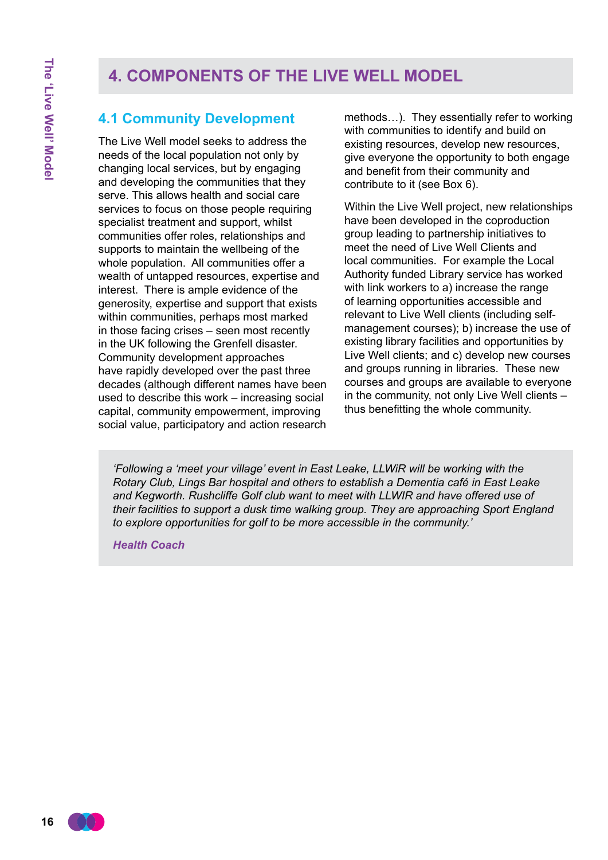# **4. Components of the Live Well model**

#### **4.1 Community Development**

The Live Well model seeks to address the needs of the local population not only by changing local services, but by engaging and developing the communities that they serve. This allows health and social care services to focus on those people requiring specialist treatment and support, whilst communities offer roles, relationships and supports to maintain the wellbeing of the whole population. All communities offer a wealth of untapped resources, expertise and interest. There is ample evidence of the generosity, expertise and support that exists within communities, perhaps most marked in those facing crises – seen most recently in the UK following the Grenfell disaster. Community development approaches have rapidly developed over the past three decades (although different names have been used to describe this work – increasing social capital, community empowerment, improving social value, participatory and action research methods…). They essentially refer to working with communities to identify and build on existing resources, develop new resources, give everyone the opportunity to both engage and benefit from their community and contribute to it (see Box 6).

Within the Live Well project, new relationships have been developed in the coproduction group leading to partnership initiatives to meet the need of Live Well Clients and local communities. For example the Local Authority funded Library service has worked with link workers to a) increase the range of learning opportunities accessible and relevant to Live Well clients (including selfmanagement courses); b) increase the use of existing library facilities and opportunities by Live Well clients; and c) develop new courses and groups running in libraries. These new courses and groups are available to everyone in the community, not only Live Well clients – thus benefitting the whole community.

*'Following a 'meet your village' event in East Leake, LLWiR will be working with the Rotary Club, Lings Bar hospital and others to establish a Dementia café in East Leake and Kegworth. Rushcliffe Golf club want to meet with LLWIR and have offered use of their facilities to support a dusk time walking group. They are approaching Sport England to explore opportunities for golf to be more accessible in the community.'* 

*Health Coach* 

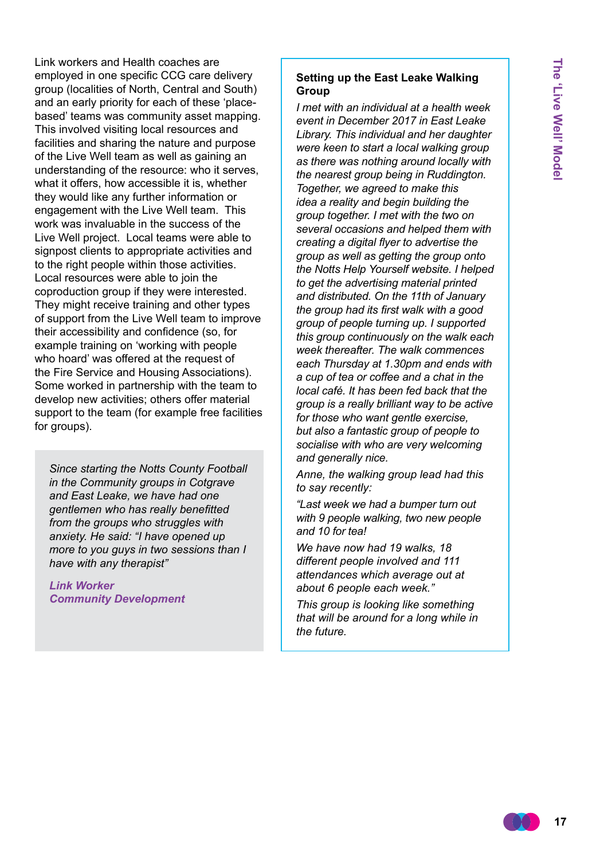Link workers and Health coaches are employed in one specific CCG care delivery group (localities of North, Central and South) and an early priority for each of these 'placebased' teams was community asset mapping. This involved visiting local resources and facilities and sharing the nature and purpose of the Live Well team as well as gaining an understanding of the resource: who it serves, what it offers, how accessible it is, whether they would like any further information or engagement with the Live Well team. This work was invaluable in the success of the Live Well project. Local teams were able to signpost clients to appropriate activities and to the right people within those activities. Local resources were able to join the coproduction group if they were interested. They might receive training and other types of support from the Live Well team to improve their accessibility and confidence (so, for example training on 'working with people who hoard' was offered at the request of the Fire Service and Housing Associations). Some worked in partnership with the team to develop new activities; others offer material support to the team (for example free facilities for groups).

*Since starting the Notts County Football in the Community groups in Cotgrave and East Leake, we have had one gentlemen who has really benefitted from the groups who struggles with anxiety. He said: "I have opened up more to you guys in two sessions than I have with any therapist"* 

*Link Worker Community Development* 

#### **Setting up the East Leake Walking Group**

*I met with an individual at a health week event in December 2017 in East Leake Library. This individual and her daughter were keen to start a local walking group as there was nothing around locally with the nearest group being in Ruddington. Together, we agreed to make this idea a reality and begin building the group together. I met with the two on several occasions and helped them with creating a digital flyer to advertise the group as well as getting the group onto the Notts Help Yourself website. I helped to get the advertising material printed and distributed. On the 11th of January the group had its first walk with a good group of people turning up. I supported this group continuously on the walk each week thereafter. The walk commences each Thursday at 1.30pm and ends with a cup of tea or coffee and a chat in the local café. It has been fed back that the group is a really brilliant way to be active for those who want gentle exercise, but also a fantastic group of people to socialise with who are very welcoming and generally nice.*

*Anne, the walking group lead had this to say recently:*

*"Last week we had a bumper turn out with 9 people walking, two new people and 10 for tea!* 

*We have now had 19 walks, 18 different people involved and 111 attendances which average out at about 6 people each week."* 

*This group is looking like something that will be around for a long while in the future.*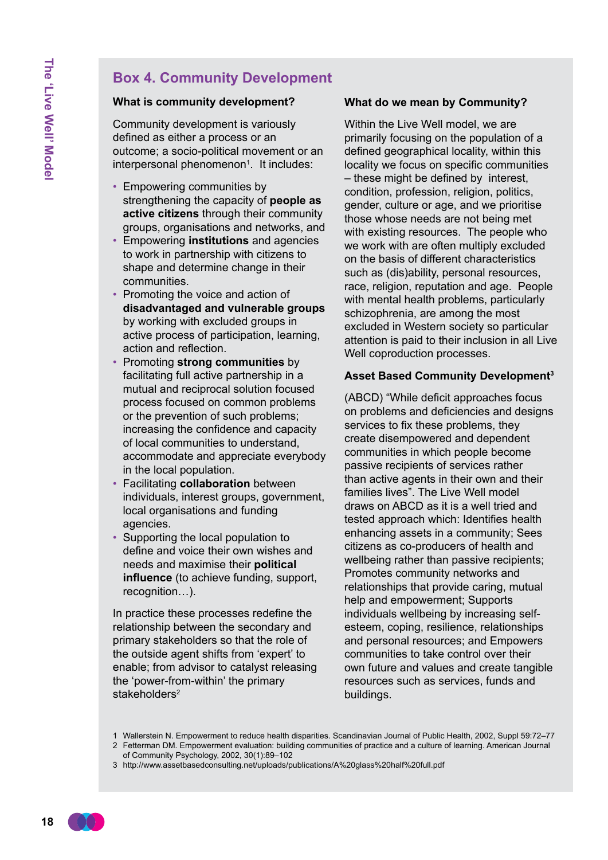#### **Box 4. Community Development**

#### **What is community development?**

Community development is variously defined as either a process or an outcome; a socio-political movement or an interpersonal phenomenon<sup>1</sup>. It includes:

- Empowering communities by strengthening the capacity of **people as active citizens** through their community groups, organisations and networks, and
- Empowering **institutions** and agencies to work in partnership with citizens to shape and determine change in their communities.
- Promoting the voice and action of **disadvantaged and vulnerable groups** by working with excluded groups in active process of participation, learning, action and reflection.
- Promoting **strong communities** by facilitating full active partnership in a mutual and reciprocal solution focused process focused on common problems or the prevention of such problems; increasing the confidence and capacity of local communities to understand, accommodate and appreciate everybody in the local population.
- Facilitating **collaboration** between individuals, interest groups, government, local organisations and funding agencies.
- Supporting the local population to define and voice their own wishes and needs and maximise their **political influence** (to achieve funding, support, recognition…).

In practice these processes redefine the relationship between the secondary and primary stakeholders so that the role of the outside agent shifts from 'expert' to enable; from advisor to catalyst releasing the 'power-from-within' the primary stakeholders<sup>2</sup>

#### **What do we mean by Community?**

Within the Live Well model, we are primarily focusing on the population of a defined geographical locality, within this locality we focus on specific communities – these might be defined by interest, condition, profession, religion, politics, gender, culture or age, and we prioritise those whose needs are not being met with existing resources. The people who we work with are often multiply excluded on the basis of different characteristics such as (dis)ability, personal resources, race, religion, reputation and age. People with mental health problems, particularly schizophrenia, are among the most excluded in Western society so particular attention is paid to their inclusion in all Live Well coproduction processes.

#### **Asset Based Community Development3**

(ABCD) "While deficit approaches focus on problems and deficiencies and designs services to fix these problems, they create disempowered and dependent communities in which people become passive recipients of services rather than active agents in their own and their families lives". The Live Well model draws on ABCD as it is a well tried and tested approach which: Identifies health enhancing assets in a community; Sees citizens as co-producers of health and wellbeing rather than passive recipients; Promotes community networks and relationships that provide caring, mutual help and empowerment; Supports individuals wellbeing by increasing selfesteem, coping, resilience, relationships and personal resources; and Empowers communities to take control over their own future and values and create tangible resources such as services, funds and buildings.

- 1 Wallerstein N. Empowerment to reduce health disparities. Scandinavian Journal of Public Health, 2002, Suppl 59:72–77 2 Fetterman DM. Empowerment evaluation: building communities of practice and a culture of learning. American Journal
- of Community Psychology, 2002, 30(1):89–102
- 3 http://www.assetbasedconsulting.net/uploads/publications/A%20glass%20half%20full.pdf

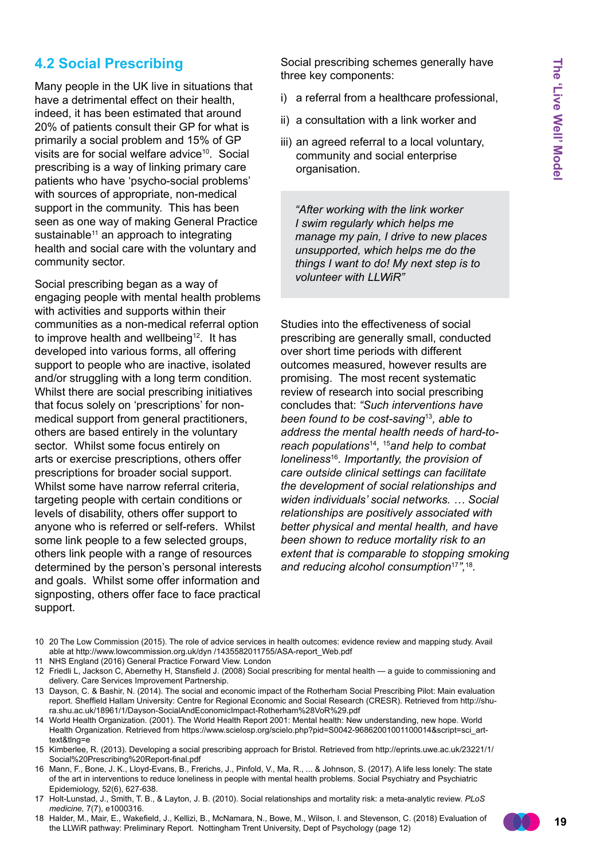#### **4.2 Social Prescribing**

Many people in the UK live in situations that have a detrimental effect on their health, indeed, it has been estimated that around 20% of patients consult their GP for what is primarily a social problem and 15% of GP visits are for social welfare advice<sup>10</sup>. Social prescribing is a way of linking primary care patients who have 'psycho-social problems' with sources of appropriate, non-medical support in the community. This has been seen as one way of making General Practice sustainable<sup>11</sup> an approach to integrating health and social care with the voluntary and community sector.

Social prescribing began as a way of engaging people with mental health problems with activities and supports within their communities as a non-medical referral option to improve health and wellbeing<sup>12</sup>. It has developed into various forms, all offering support to people who are inactive, isolated and/or struggling with a long term condition. Whilst there are social prescribing initiatives that focus solely on 'prescriptions' for nonmedical support from general practitioners, others are based entirely in the voluntary sector. Whilst some focus entirely on arts or exercise prescriptions, others offer prescriptions for broader social support. Whilst some have narrow referral criteria, targeting people with certain conditions or levels of disability, others offer support to anyone who is referred or self-refers. Whilst some link people to a few selected groups, others link people with a range of resources determined by the person's personal interests and goals. Whilst some offer information and signposting, others offer face to face practical support.

Social prescribing schemes generally have three key components:

- i) a referral from a healthcare professional,
- ii) a consultation with a link worker and
- iii) an agreed referral to a local voluntary, community and social enterprise organisation.

*"After working with the link worker I swim regularly which helps me manage my pain, I drive to new places unsupported, which helps me do the things I want to do! My next step is to volunteer with LLWiR"* 

Studies into the effectiveness of social prescribing are generally small, conducted over short time periods with different outcomes measured, however results are promising. The most recent systematic review of research into social prescribing concludes that: *"Such interventions have been found to be cost-saving*<sup>13</sup>*, able to address the mental health needs of hard-toreach populations*<sup>14</sup>*,* <sup>15</sup>*and help to combat loneliness*<sup>16</sup>*. Importantly, the provision of care outside clinical settings can facilitate the development of social relationships and widen individuals' social networks. … Social relationships are positively associated with better physical and mental health, and have been shown to reduce mortality risk to an extent that is comparable to stopping smoking and reducing alcohol consumption*<sup>17</sup>*",*<sup>18</sup>*.* 

- 10 20 The Low Commission (2015). The role of advice services in health outcomes: evidence review and mapping study. Avail able at http://www.lowcommission.org.uk/dyn /1435582011755/ASA-report\_Web.pdf
- 11 NHS England (2016) General Practice Forward View. London
- 12 Friedli L, Jackson C, Abernethy H, Stansfield J. (2008) Social prescribing for mental health a guide to commissioning and delivery. Care Services Improvement Partnership.
- 13 Dayson, C. & Bashir, N. (2014). The social and economic impact of the Rotherham Social Prescribing Pilot: Main evaluation report. Sheffield Hallam University: Centre for Regional Economic and Social Research (CRESR). Retrieved from http://shura.shu.ac.uk/18961/1/Dayson-SocialAndEconomicImpact-Rotherham%28VoR%29.pdf
- 14 World Health Organization. (2001). The World Health Report 2001: Mental health: New understanding, new hope. World Health Organization. Retrieved from https://www.scielosp.org/scielo.php?pid=S0042-96862001001100014&script=sci\_arttext&tlng=e
- 15 Kimberlee, R. (2013). Developing a social prescribing approach for Bristol. Retrieved from http://eprints.uwe.ac.uk/23221/1/ Social%20Prescribing%20Report-final.pdf
- 16 Mann, F., Bone, J. K., Lloyd-Evans, B., Frerichs, J., Pinfold, V., Ma, R., ... & Johnson, S. (2017). A life less lonely: The state of the art in interventions to reduce loneliness in people with mental health problems. Social Psychiatry and Psychiatric Epidemiology, 52(6), 627-638.
- 17 Holt-Lunstad, J., Smith, T. B., & Layton, J. B. (2010). Social relationships and mortality risk: a meta-analytic review. *PLoS medicine,* 7(7), e1000316.
- 18 Halder, M., Mair, E., Wakefield, J., Kellizi, B., McNamara, N., Bowe, M., Wilson, I. and Stevenson, C. (2018) Evaluation of the LLWiR pathway: Preliminary Report. Nottingham Trent University, Dept of Psychology (page 12)

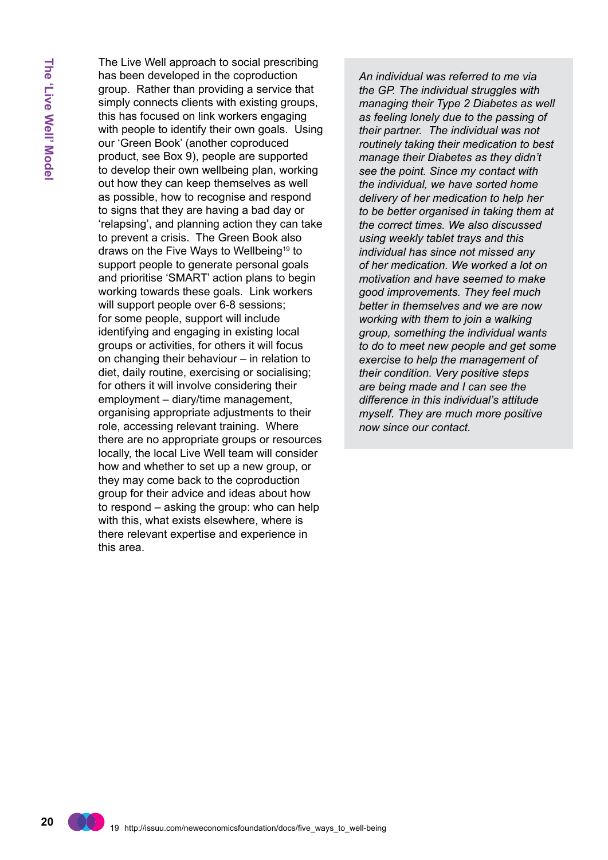The Live Well approach to social prescribing has been developed in the coproduction group. Rather than providing a service that simply connects clients with existing groups, this has focused on link workers engaging with people to identify their own goals. Using our 'Green Book' (another coproduced product, see Box 9), people are supported to develop their own wellbeing plan, working out how they can keep themselves as well as possible, how to recognise and respond to signs that they are having a bad day or 'relapsing', and planning action they can take to prevent a crisis. The Green Book also draws on the Five Ways to Wellbeing<sup>19</sup> to support people to generate personal goals and prioritise 'SMART' action plans to begin working towards these goals. Link workers will support people over 6-8 sessions; for some people, support will include identifying and engaging in existing local groups or activities, for others it will focus on changing their behaviour – in relation to diet, daily routine, exercising or socialising; for others it will involve considering their employment – diary/time management, organising appropriate adjustments to their role, accessing relevant training. Where there are no appropriate groups or resources locally, the local Live Well team will consider how and whether to set up a new group, or they may come back to the coproduction group for their advice and ideas about how to respond – asking the group: who can help with this, what exists elsewhere, where is there relevant expertise and experience in this area.

*An individual was referred to me via the GP. The individual struggles with managing their Type 2 Diabetes as well as feeling lonely due to the passing of their partner. The individual was not routinely taking their medication to best manage their Diabetes as they didn't see the point. Since my contact with the individual, we have sorted home delivery of her medication to help her to be better organised in taking them at the correct times. We also discussed using weekly tablet trays and this individual has since not missed any of her medication. We worked a lot on motivation and have seemed to make good improvements. They feel much better in themselves and we are now working with them to join a walking group, something the individual wants to do to meet new people and get some exercise to help the management of their condition. Very positive steps are being made and I can see the difference in this individual's attitude myself. They are much more positive now since our contact.*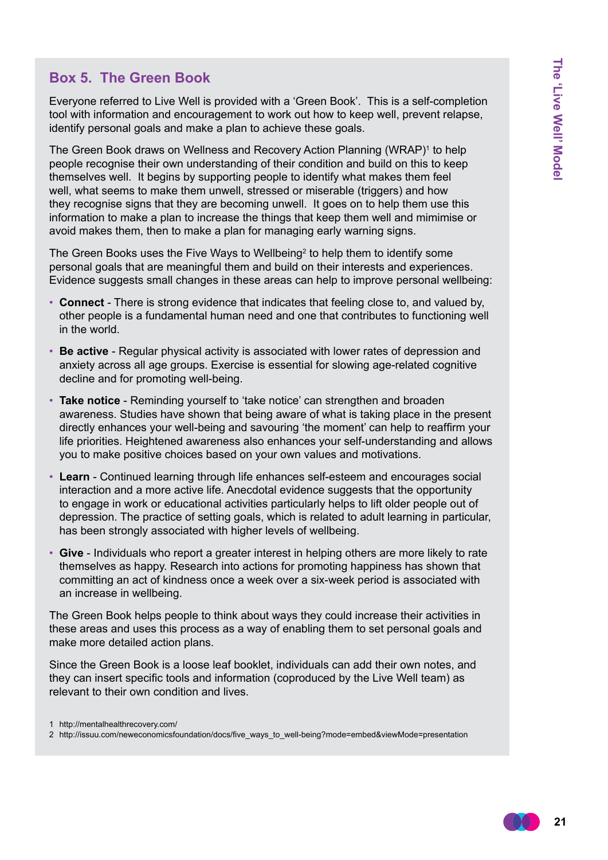#### **Box 5. The Green Book**

Everyone referred to Live Well is provided with a 'Green Book'. This is a self-completion tool with information and encouragement to work out how to keep well, prevent relapse, identify personal goals and make a plan to achieve these goals.

The Green Book draws on Wellness and Recovery Action Planning (WRAP)<sup>1</sup> to help people recognise their own understanding of their condition and build on this to keep themselves well. It begins by supporting people to identify what makes them feel well, what seems to make them unwell, stressed or miserable (triggers) and how they recognise signs that they are becoming unwell. It goes on to help them use this information to make a plan to increase the things that keep them well and mimimise or avoid makes them, then to make a plan for managing early warning signs.

The Green Books uses the Five Ways to Wellbeing<sup>2</sup> to help them to identify some personal goals that are meaningful them and build on their interests and experiences. Evidence suggests small changes in these areas can help to improve personal wellbeing:

- **Connect** There is strong evidence that indicates that feeling close to, and valued by, other people is a fundamental human need and one that contributes to functioning well in the world.
- • **Be active** Regular physical activity is associated with lower rates of depression and anxiety across all age groups. Exercise is essential for slowing age-related cognitive decline and for promoting well-being.
- **Take notice** Reminding yourself to 'take notice' can strengthen and broaden awareness. Studies have shown that being aware of what is taking place in the present directly enhances your well-being and savouring 'the moment' can help to reaffirm your life priorities. Heightened awareness also enhances your self-understanding and allows you to make positive choices based on your own values and motivations.
- **Learn** Continued learning through life enhances self-esteem and encourages social interaction and a more active life. Anecdotal evidence suggests that the opportunity to engage in work or educational activities particularly helps to lift older people out of depression. The practice of setting goals, which is related to adult learning in particular, has been strongly associated with higher levels of wellbeing.
- **Give** Individuals who report a greater interest in helping others are more likely to rate themselves as happy. Research into actions for promoting happiness has shown that committing an act of kindness once a week over a six-week period is associated with an increase in wellbeing.

The Green Book helps people to think about ways they could increase their activities in these areas and uses this process as a way of enabling them to set personal goals and make more detailed action plans.

Since the Green Book is a loose leaf booklet, individuals can add their own notes, and they can insert specific tools and information (coproduced by the Live Well team) as relevant to their own condition and lives.

<sup>1</sup> http://mentalhealthrecovery.com/

<sup>2</sup> http://issuu.com/neweconomicsfoundation/docs/five\_ways\_to\_well-being?mode=embed&viewMode=presentation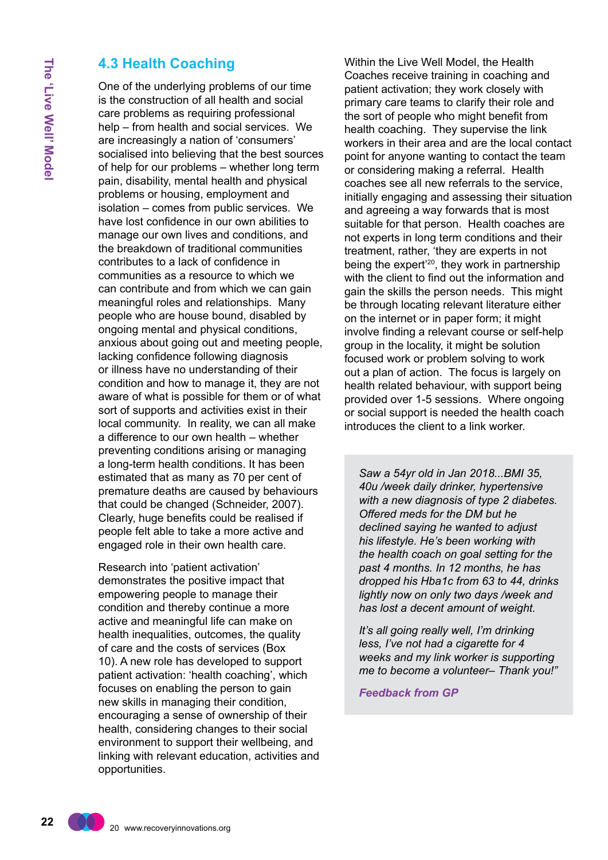#### **4.3 Health Coaching**

One of the underlying problems of our time is the construction of all health and social care problems as requiring professional help – from health and social services. We are increasingly a nation of 'consumers' socialised into believing that the best sources of help for our problems – whether long term pain, disability, mental health and physical problems or housing, employment and isolation – comes from public services. We have lost confidence in our own abilities to manage our own lives and conditions, and the breakdown of traditional communities contributes to a lack of confidence in communities as a resource to which we can contribute and from which we can gain meaningful roles and relationships. Many people who are house bound, disabled by ongoing mental and physical conditions, anxious about going out and meeting people, lacking confidence following diagnosis or illness have no understanding of their condition and how to manage it, they are not aware of what is possible for them or of what sort of supports and activities exist in their local community. In reality, we can all make a difference to our own health – whether preventing conditions arising or managing a long-term health conditions. It has been estimated that as many as 70 per cent of premature deaths are caused by behaviours that could be changed (Schneider, 2007). Clearly, huge benefits could be realised if people felt able to take a more active and engaged role in their own health care.

Research into 'patient activation' demonstrates the positive impact that empowering people to manage their condition and thereby continue a more active and meaningful life can make on health inequalities, outcomes, the quality of care and the costs of services (Box 10). A new role has developed to support patient activation: 'health coaching', which focuses on enabling the person to gain new skills in managing their condition, encouraging a sense of ownership of their health, considering changes to their social environment to support their wellbeing, and linking with relevant education, activities and opportunities.

Within the Live Well Model, the Health Coaches receive training in coaching and patient activation; they work closely with primary care teams to clarify their role and the sort of people who might benefit from health coaching. They supervise the link workers in their area and are the local contact point for anyone wanting to contact the team or considering making a referral. Health coaches see all new referrals to the service, initially engaging and assessing their situation and agreeing a way forwards that is most suitable for that person. Health coaches are not experts in long term conditions and their treatment, rather, 'they are experts in not being the expert<sup>'20</sup>, they work in partnership with the client to find out the information and gain the skills the person needs. This might be through locating relevant literature either on the internet or in paper form; it might involve finding a relevant course or self-help group in the locality, it might be solution focused work or problem solving to work out a plan of action. The focus is largely on health related behaviour, with support being provided over 1-5 sessions. Where ongoing or social support is needed the health coach introduces the client to a link worker.

*Saw a 54yr old in Jan 2018...BMI 35, 40u /week daily drinker, hypertensive with a new diagnosis of type 2 diabetes. Offered meds for the DM but he declined saying he wanted to adjust his lifestyle. He's been working with the health coach on goal setting for the past 4 months. In 12 months, he has dropped his Hba1c from 63 to 44, drinks lightly now on only two days /week and has lost a decent amount of weight.* 

*It's all going really well, I'm drinking less, I've not had a cigarette for 4 weeks and my link worker is supporting me to become a volunteer– Thank you!"*

*Feedback from GP*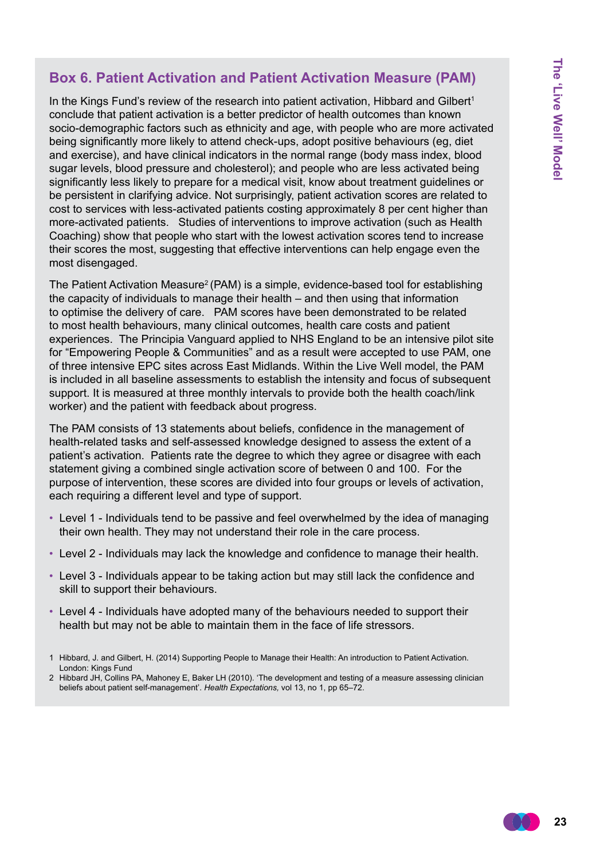#### **Box 6. Patient Activation and Patient Activation Measure (PAM)**

In the Kings Fund's review of the research into patient activation, Hibbard and Gilbert<sup>1</sup> conclude that patient activation is a better predictor of health outcomes than known socio-demographic factors such as ethnicity and age, with people who are more activated being significantly more likely to attend check-ups, adopt positive behaviours (eg, diet and exercise), and have clinical indicators in the normal range (body mass index, blood sugar levels, blood pressure and cholesterol); and people who are less activated being significantly less likely to prepare for a medical visit, know about treatment guidelines or be persistent in clarifying advice. Not surprisingly, patient activation scores are related to cost to services with less-activated patients costing approximately 8 per cent higher than more-activated patients. Studies of interventions to improve activation (such as Health Coaching) show that people who start with the lowest activation scores tend to increase their scores the most, suggesting that effective interventions can help engage even the most disengaged.

The Patient Activation Measure<sup>2</sup> (PAM) is a simple, evidence-based tool for establishing the capacity of individuals to manage their health – and then using that information to optimise the delivery of care. PAM scores have been demonstrated to be related to most health behaviours, many clinical outcomes, health care costs and patient experiences. The Principia Vanguard applied to NHS England to be an intensive pilot site for "Empowering People & Communities" and as a result were accepted to use PAM, one of three intensive EPC sites across East Midlands. Within the Live Well model, the PAM is included in all baseline assessments to establish the intensity and focus of subsequent support. It is measured at three monthly intervals to provide both the health coach/link worker) and the patient with feedback about progress.

The PAM consists of 13 statements about beliefs, confidence in the management of health-related tasks and self-assessed knowledge designed to assess the extent of a patient's activation. Patients rate the degree to which they agree or disagree with each statement giving a combined single activation score of between 0 and 100. For the purpose of intervention, these scores are divided into four groups or levels of activation, each requiring a different level and type of support.

- Level 1 Individuals tend to be passive and feel overwhelmed by the idea of managing their own health. They may not understand their role in the care process.
- Level 2 Individuals may lack the knowledge and confidence to manage their health.
- Level 3 Individuals appear to be taking action but may still lack the confidence and skill to support their behaviours.
- Level 4 Individuals have adopted many of the behaviours needed to support their health but may not be able to maintain them in the face of life stressors.

<sup>1</sup> Hibbard, J. and Gilbert, H. (2014) Supporting People to Manage their Health: An introduction to Patient Activation. London: Kings Fund

<sup>2</sup> Hibbard JH, Collins PA, Mahoney E, Baker LH (2010). 'The development and testing of a measure assessing clinician beliefs about patient self-management'. *Health Expectations,* vol 13, no 1, pp 65–72.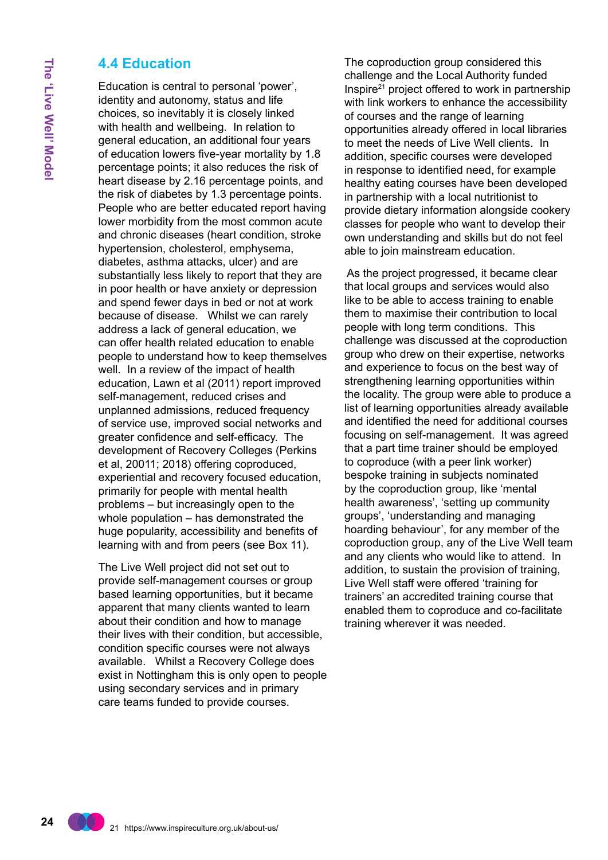#### **4.4 Education**

Education is central to personal 'power', identity and autonomy, status and life choices, so inevitably it is closely linked with health and wellbeing. In relation to general education, an additional four years of education lowers five-year mortality by 1.8 percentage points; it also reduces the risk of heart disease by 2.16 percentage points, and the risk of diabetes by 1.3 percentage points. People who are better educated report having lower morbidity from the most common acute and chronic diseases (heart condition, stroke hypertension, cholesterol, emphysema, diabetes, asthma attacks, ulcer) and are substantially less likely to report that they are in poor health or have anxiety or depression and spend fewer days in bed or not at work because of disease. Whilst we can rarely address a lack of general education, we can offer health related education to enable people to understand how to keep themselves well. In a review of the impact of health education, Lawn et al (2011) report improved self-management, reduced crises and unplanned admissions, reduced frequency of service use, improved social networks and greater confidence and self-efficacy. The development of Recovery Colleges (Perkins et al, 20011; 2018) offering coproduced, experiential and recovery focused education, primarily for people with mental health problems – but increasingly open to the whole population – has demonstrated the huge popularity, accessibility and benefits of learning with and from peers (see Box 11).

The Live Well project did not set out to provide self-management courses or group based learning opportunities, but it became apparent that many clients wanted to learn about their condition and how to manage their lives with their condition, but accessible, condition specific courses were not always available. Whilst a Recovery College does exist in Nottingham this is only open to people using secondary services and in primary care teams funded to provide courses.

The coproduction group considered this challenge and the Local Authority funded Inspire21 project offered to work in partnership with link workers to enhance the accessibility of courses and the range of learning opportunities already offered in local libraries to meet the needs of Live Well clients. In addition, specific courses were developed in response to identified need, for example healthy eating courses have been developed in partnership with a local nutritionist to provide dietary information alongside cookery classes for people who want to develop their own understanding and skills but do not feel able to join mainstream education.

 As the project progressed, it became clear that local groups and services would also like to be able to access training to enable them to maximise their contribution to local people with long term conditions. This challenge was discussed at the coproduction group who drew on their expertise, networks and experience to focus on the best way of strengthening learning opportunities within the locality. The group were able to produce a list of learning opportunities already available and identified the need for additional courses focusing on self-management. It was agreed that a part time trainer should be employed to coproduce (with a peer link worker) bespoke training in subjects nominated by the coproduction group, like 'mental health awareness', 'setting up community groups', 'understanding and managing hoarding behaviour', for any member of the coproduction group, any of the Live Well team and any clients who would like to attend. In addition, to sustain the provision of training, Live Well staff were offered 'training for trainers' an accredited training course that enabled them to coproduce and co-facilitate training wherever it was needed.

21 https://www.inspireculture.org.uk/about-us/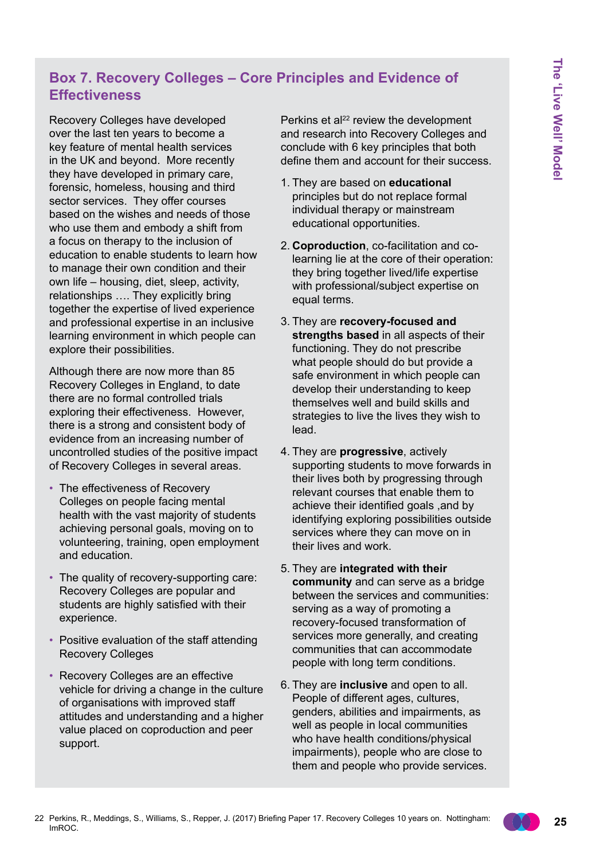# **Box 7. Recovery Colleges – Core Principles and Evidence of Effectiveness**

Recovery Colleges have developed over the last ten years to become a key feature of mental health services in the UK and beyond. More recently they have developed in primary care, forensic, homeless, housing and third sector services. They offer courses based on the wishes and needs of those who use them and embody a shift from a focus on therapy to the inclusion of education to enable students to learn how to manage their own condition and their own life – housing, diet, sleep, activity, relationships …. They explicitly bring together the expertise of lived experience and professional expertise in an inclusive learning environment in which people can explore their possibilities.

Although there are now more than 85 Recovery Colleges in England, to date there are no formal controlled trials exploring their effectiveness. However, there is a strong and consistent body of evidence from an increasing number of uncontrolled studies of the positive impact of Recovery Colleges in several areas.

- The effectiveness of Recovery Colleges on people facing mental health with the vast majority of students achieving personal goals, moving on to volunteering, training, open employment and education.
- The quality of recovery-supporting care: Recovery Colleges are popular and students are highly satisfied with their experience.
- Positive evaluation of the staff attending Recovery Colleges
- Recovery Colleges are an effective vehicle for driving a change in the culture of organisations with improved staff attitudes and understanding and a higher value placed on coproduction and peer support.

Perkins et al<sup>22</sup> review the development and research into Recovery Colleges and conclude with 6 key principles that both define them and account for their success.

- 1. They are based on **educational**  principles but do not replace formal individual therapy or mainstream educational opportunities.
- 2. **Coproduction**, co-facilitation and colearning lie at the core of their operation: they bring together lived/life expertise with professional/subject expertise on equal terms.
- 3. They are **recovery-focused and strengths based** in all aspects of their functioning. They do not prescribe what people should do but provide a safe environment in which people can develop their understanding to keep themselves well and build skills and strategies to live the lives they wish to lead.
- 4. They are **progressive**, actively supporting students to move forwards in their lives both by progressing through relevant courses that enable them to achieve their identified goals ,and by identifying exploring possibilities outside services where they can move on in their lives and work.
- 5. They are **integrated with their community** and can serve as a bridge between the services and communities: serving as a way of promoting a recovery-focused transformation of services more generally, and creating communities that can accommodate people with long term conditions.
- 6. They are **inclusive** and open to all. People of different ages, cultures, genders, abilities and impairments, as well as people in local communities who have health conditions/physical impairments), people who are close to them and people who provide services.

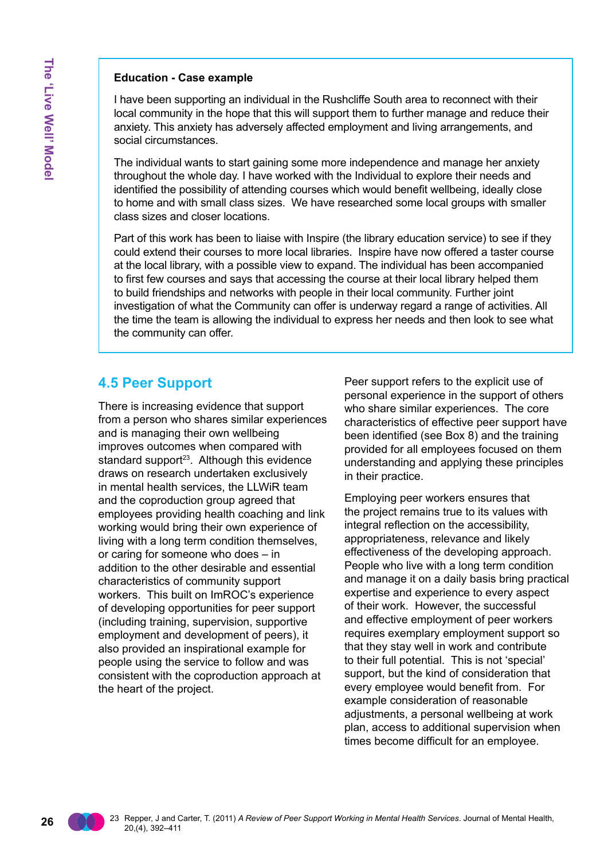#### **Education - Case example**

I have been supporting an individual in the Rushcliffe South area to reconnect with their local community in the hope that this will support them to further manage and reduce their anxiety. This anxiety has adversely affected employment and living arrangements, and social circumstances.

The individual wants to start gaining some more independence and manage her anxiety throughout the whole day. I have worked with the Individual to explore their needs and identified the possibility of attending courses which would benefit wellbeing, ideally close to home and with small class sizes. We have researched some local groups with smaller class sizes and closer locations.

Part of this work has been to liaise with Inspire (the library education service) to see if they could extend their courses to more local libraries. Inspire have now offered a taster course at the local library, with a possible view to expand. The individual has been accompanied to first few courses and says that accessing the course at their local library helped them to build friendships and networks with people in their local community. Further joint investigation of what the Community can offer is underway regard a range of activities. All the time the team is allowing the individual to express her needs and then look to see what the community can offer.

#### **4.5 Peer Support**

There is increasing evidence that support from a person who shares similar experiences and is managing their own wellbeing improves outcomes when compared with standard support<sup>23</sup>. Although this evidence draws on research undertaken exclusively in mental health services, the LLWiR team and the coproduction group agreed that employees providing health coaching and link working would bring their own experience of living with a long term condition themselves, or caring for someone who does – in addition to the other desirable and essential characteristics of community support workers. This built on ImROC's experience of developing opportunities for peer support (including training, supervision, supportive employment and development of peers), it also provided an inspirational example for people using the service to follow and was consistent with the coproduction approach at the heart of the project.

Peer support refers to the explicit use of personal experience in the support of others who share similar experiences. The core characteristics of effective peer support have been identified (see Box 8) and the training provided for all employees focused on them understanding and applying these principles in their practice.

Employing peer workers ensures that the project remains true to its values with integral reflection on the accessibility, appropriateness, relevance and likely effectiveness of the developing approach. People who live with a long term condition and manage it on a daily basis bring practical expertise and experience to every aspect of their work. However, the successful and effective employment of peer workers requires exemplary employment support so that they stay well in work and contribute to their full potential. This is not 'special' support, but the kind of consideration that every employee would benefit from. For example consideration of reasonable adjustments, a personal wellbeing at work plan, access to additional supervision when times become difficult for an employee.

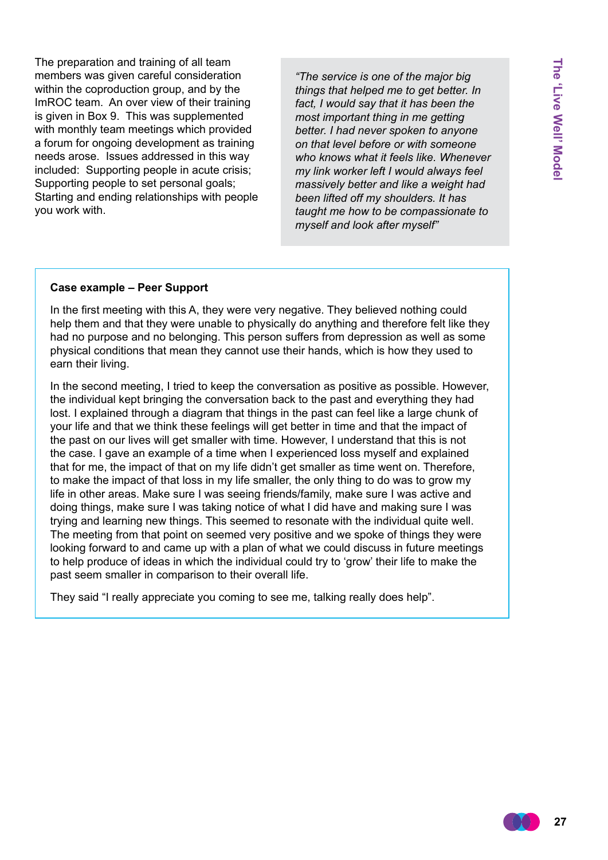The preparation and training of all team members was given careful consideration within the coproduction group, and by the ImROC team. An over view of their training is given in Box 9. This was supplemented with monthly team meetings which provided a forum for ongoing development as training needs arose. Issues addressed in this way included: Supporting people in acute crisis; Supporting people to set personal goals; Starting and ending relationships with people you work with.

*"The service is one of the major big things that helped me to get better. In fact, I would say that it has been the most important thing in me getting better. I had never spoken to anyone on that level before or with someone who knows what it feels like. Whenever my link worker left I would always feel massively better and like a weight had been lifted off my shoulders. It has taught me how to be compassionate to myself and look after myself"* 

#### **Case example – Peer Support**

In the first meeting with this A, they were very negative. They believed nothing could help them and that they were unable to physically do anything and therefore felt like they had no purpose and no belonging. This person suffers from depression as well as some physical conditions that mean they cannot use their hands, which is how they used to earn their living.

In the second meeting, I tried to keep the conversation as positive as possible. However, the individual kept bringing the conversation back to the past and everything they had lost. I explained through a diagram that things in the past can feel like a large chunk of your life and that we think these feelings will get better in time and that the impact of the past on our lives will get smaller with time. However, I understand that this is not the case. I gave an example of a time when I experienced loss myself and explained that for me, the impact of that on my life didn't get smaller as time went on. Therefore, to make the impact of that loss in my life smaller, the only thing to do was to grow my life in other areas. Make sure I was seeing friends/family, make sure I was active and doing things, make sure I was taking notice of what I did have and making sure I was trying and learning new things. This seemed to resonate with the individual quite well. The meeting from that point on seemed very positive and we spoke of things they were looking forward to and came up with a plan of what we could discuss in future meetings to help produce of ideas in which the individual could try to 'grow' their life to make the past seem smaller in comparison to their overall life.

They said "I really appreciate you coming to see me, talking really does help".

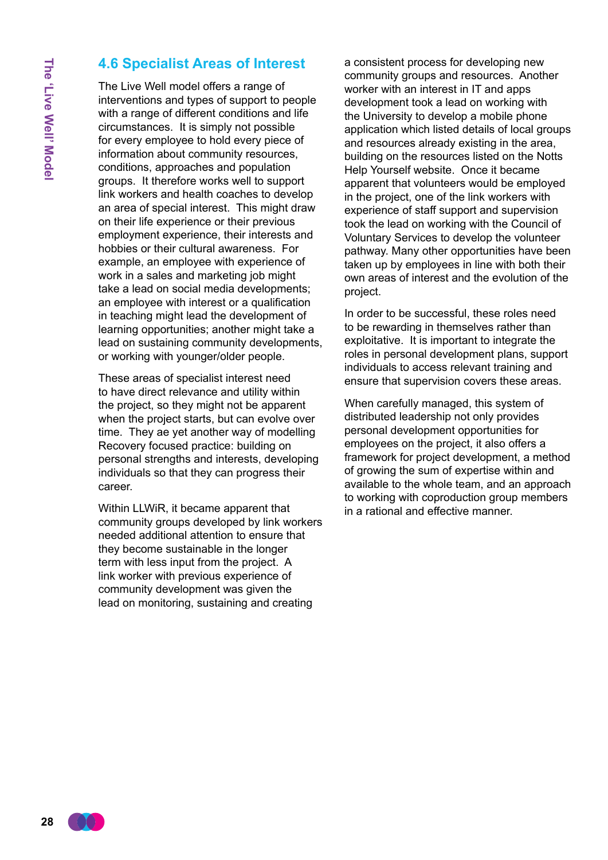#### **4.6 Specialist Areas of Interest**

The Live Well model offers a range of interventions and types of support to people with a range of different conditions and life circumstances. It is simply not possible for every employee to hold every piece of information about community resources, conditions, approaches and population groups. It therefore works well to support link workers and health coaches to develop an area of special interest. This might draw on their life experience or their previous employment experience, their interests and hobbies or their cultural awareness. For example, an employee with experience of work in a sales and marketing job might take a lead on social media developments; an employee with interest or a qualification in teaching might lead the development of learning opportunities; another might take a lead on sustaining community developments, or working with younger/older people.

These areas of specialist interest need to have direct relevance and utility within the project, so they might not be apparent when the project starts, but can evolve over time. They ae yet another way of modelling Recovery focused practice: building on personal strengths and interests, developing individuals so that they can progress their career.

Within LLWiR, it became apparent that community groups developed by link workers needed additional attention to ensure that they become sustainable in the longer term with less input from the project. A link worker with previous experience of community development was given the lead on monitoring, sustaining and creating

a consistent process for developing new community groups and resources. Another worker with an interest in IT and apps development took a lead on working with the University to develop a mobile phone application which listed details of local groups and resources already existing in the area, building on the resources listed on the Notts Help Yourself website. Once it became apparent that volunteers would be employed in the project, one of the link workers with experience of staff support and supervision took the lead on working with the Council of Voluntary Services to develop the volunteer pathway. Many other opportunities have been taken up by employees in line with both their own areas of interest and the evolution of the project.

In order to be successful, these roles need to be rewarding in themselves rather than exploitative. It is important to integrate the roles in personal development plans, support individuals to access relevant training and ensure that supervision covers these areas.

When carefully managed, this system of distributed leadership not only provides personal development opportunities for employees on the project, it also offers a framework for project development, a method of growing the sum of expertise within and available to the whole team, and an approach to working with coproduction group members in a rational and effective manner.

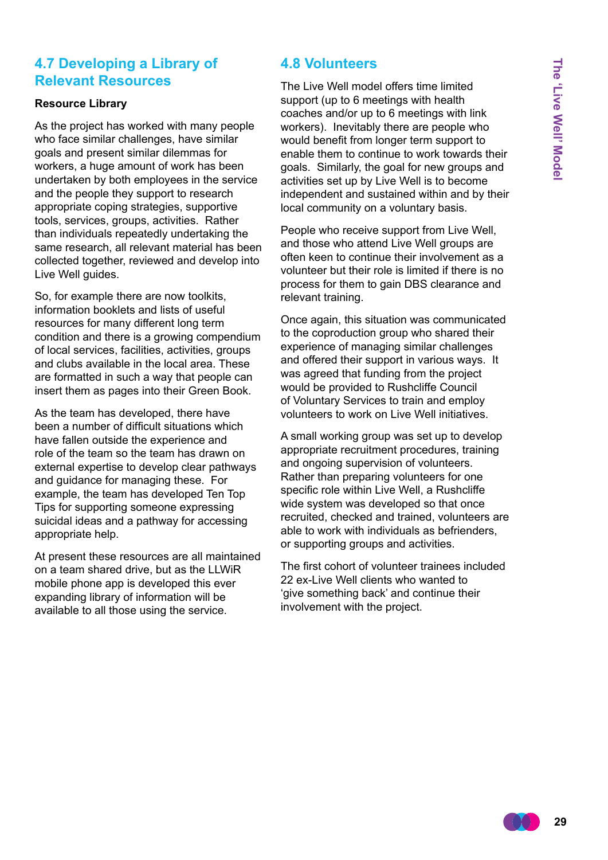# **4.7 Developing a Library of Relevant Resources**

#### **Resource Library**

As the project has worked with many people who face similar challenges, have similar goals and present similar dilemmas for workers, a huge amount of work has been undertaken by both employees in the service and the people they support to research appropriate coping strategies, supportive tools, services, groups, activities. Rather than individuals repeatedly undertaking the same research, all relevant material has been collected together, reviewed and develop into Live Well guides.

So, for example there are now toolkits, information booklets and lists of useful resources for many different long term condition and there is a growing compendium of local services, facilities, activities, groups and clubs available in the local area. These are formatted in such a way that people can insert them as pages into their Green Book.

As the team has developed, there have been a number of difficult situations which have fallen outside the experience and role of the team so the team has drawn on external expertise to develop clear pathways and guidance for managing these. For example, the team has developed Ten Top Tips for supporting someone expressing suicidal ideas and a pathway for accessing appropriate help.

At present these resources are all maintained on a team shared drive, but as the LLWiR mobile phone app is developed this ever expanding library of information will be available to all those using the service.

# **4.8 Volunteers**

The Live Well model offers time limited support (up to 6 meetings with health coaches and/or up to 6 meetings with link workers). Inevitably there are people who would benefit from longer term support to enable them to continue to work towards their goals. Similarly, the goal for new groups and activities set up by Live Well is to become independent and sustained within and by their local community on a voluntary basis.

People who receive support from Live Well, and those who attend Live Well groups are often keen to continue their involvement as a volunteer but their role is limited if there is no process for them to gain DBS clearance and relevant training.

Once again, this situation was communicated to the coproduction group who shared their experience of managing similar challenges and offered their support in various ways. It was agreed that funding from the project would be provided to Rushcliffe Council of Voluntary Services to train and employ volunteers to work on Live Well initiatives.

A small working group was set up to develop appropriate recruitment procedures, training and ongoing supervision of volunteers. Rather than preparing volunteers for one specific role within Live Well, a Rushcliffe wide system was developed so that once recruited, checked and trained, volunteers are able to work with individuals as befrienders, or supporting groups and activities.

The first cohort of volunteer trainees included 22 ex-Live Well clients who wanted to 'give something back' and continue their involvement with the project.

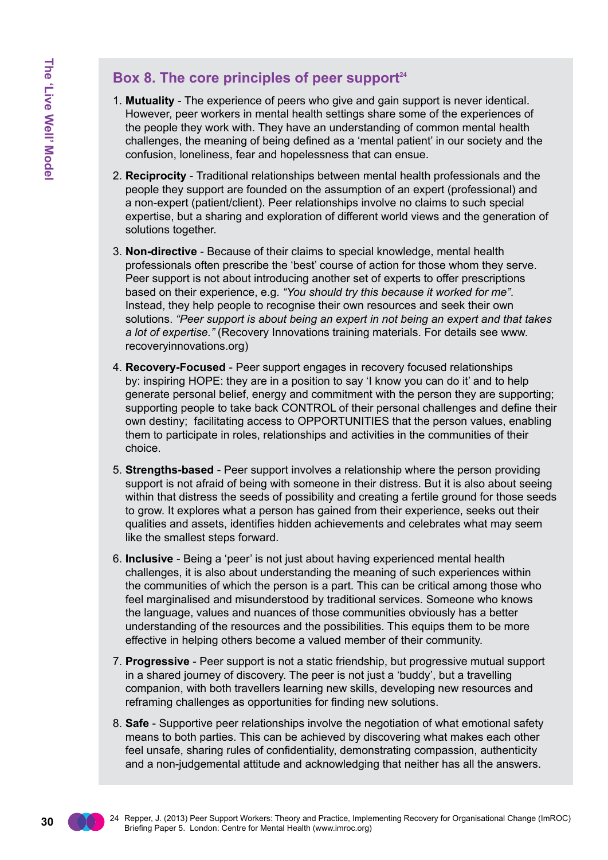# Box 8. The core principles of peer support<sup>24</sup>

- 1. **Mutuality** The experience of peers who give and gain support is never identical. However, peer workers in mental health settings share some of the experiences of the people they work with. They have an understanding of common mental health challenges, the meaning of being defined as a 'mental patient' in our society and the confusion, loneliness, fear and hopelessness that can ensue.
- 2. **Reciprocity** Traditional relationships between mental health professionals and the people they support are founded on the assumption of an expert (professional) and a non-expert (patient/client). Peer relationships involve no claims to such special expertise, but a sharing and exploration of different world views and the generation of solutions together.
- 3. **Non-directive** Because of their claims to special knowledge, mental health professionals often prescribe the 'best' course of action for those whom they serve. Peer support is not about introducing another set of experts to offer prescriptions based on their experience, e.g. *"You should try this because it worked for me"*. Instead, they help people to recognise their own resources and seek their own solutions. *"Peer support is about being an expert in not being an expert and that takes a lot of expertise."* (Recovery Innovations training materials. For details see www. recoveryinnovations.org)
- 4. **Recovery-Focused** Peer support engages in recovery focused relationships by: inspiring HOPE: they are in a position to say 'I know you can do it' and to help generate personal belief, energy and commitment with the person they are supporting; supporting people to take back CONTROL of their personal challenges and define their own destiny; facilitating access to OPPORTUNITIES that the person values, enabling them to participate in roles, relationships and activities in the communities of their choice.
- 5. **Strengths-based** Peer support involves a relationship where the person providing support is not afraid of being with someone in their distress. But it is also about seeing within that distress the seeds of possibility and creating a fertile ground for those seeds to grow. It explores what a person has gained from their experience, seeks out their qualities and assets, identifies hidden achievements and celebrates what may seem like the smallest steps forward.
- 6. **Inclusive** Being a 'peer' is not just about having experienced mental health challenges, it is also about understanding the meaning of such experiences within the communities of which the person is a part. This can be critical among those who feel marginalised and misunderstood by traditional services. Someone who knows the language, values and nuances of those communities obviously has a better understanding of the resources and the possibilities. This equips them to be more effective in helping others become a valued member of their community.
- 7. **Progressive** Peer support is not a static friendship, but progressive mutual support in a shared journey of discovery. The peer is not just a 'buddy', but a travelling companion, with both travellers learning new skills, developing new resources and reframing challenges as opportunities for finding new solutions.
- 8. **Safe** Supportive peer relationships involve the negotiation of what emotional safety means to both parties. This can be achieved by discovering what makes each other feel unsafe, sharing rules of confidentiality, demonstrating compassion, authenticity and a non-judgemental attitude and acknowledging that neither has all the answers.

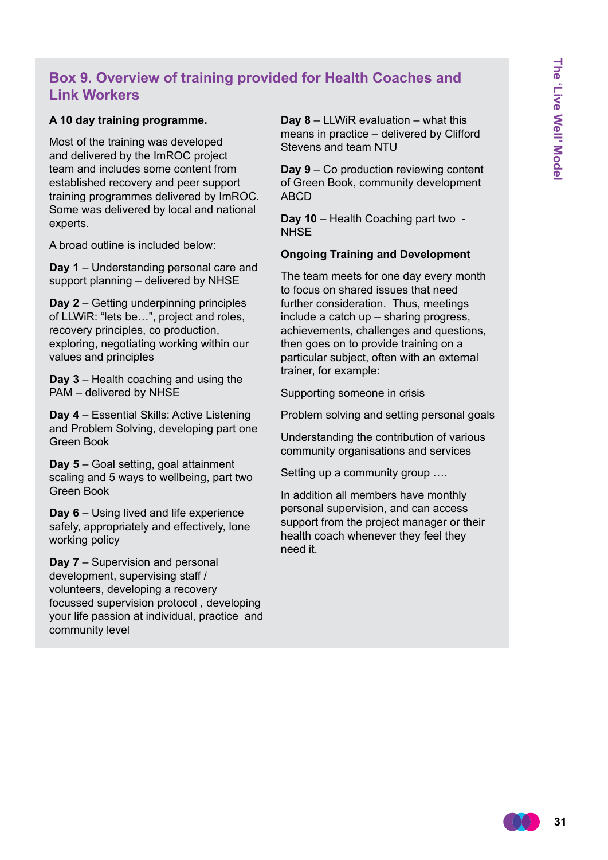#### **Box 9. Overview of training provided for Health Coaches and Link Workers**

#### **A 10 day training programme.**

Most of the training was developed and delivered by the ImROC project team and includes some content from established recovery and peer support training programmes delivered by ImROC. Some was delivered by local and national experts.

A broad outline is included below:

**Day 1** – Understanding personal care and support planning – delivered by NHSE

**Day 2** – Getting underpinning principles of LLWiR: "lets be…", project and roles, recovery principles, co production, exploring, negotiating working within our values and principles

**Day 3** – Health coaching and using the PAM – delivered by NHSE

**Day 4** – Essential Skills: Active Listening and Problem Solving, developing part one Green Book

**Day 5** – Goal setting, goal attainment scaling and 5 ways to wellbeing, part two Green Book

**Day 6** – Using lived and life experience safely, appropriately and effectively, lone working policy

**Day 7** – Supervision and personal development, supervising staff / volunteers, developing a recovery focussed supervision protocol , developing your life passion at individual, practice and community level

**Day 8** – LLWiR evaluation – what this means in practice – delivered by Clifford Stevens and team NTU

**Day 9** – Co production reviewing content of Green Book, community development ABCD

**Day 10** – Health Coaching part two - **NHSF** 

#### **Ongoing Training and Development**

The team meets for one day every month to focus on shared issues that need further consideration. Thus, meetings include a catch up – sharing progress, achievements, challenges and questions, then goes on to provide training on a particular subject, often with an external trainer, for example:

Supporting someone in crisis

Problem solving and setting personal goals

Understanding the contribution of various community organisations and services

Setting up a community group ….

In addition all members have monthly personal supervision, and can access support from the project manager or their health coach whenever they feel they need it.

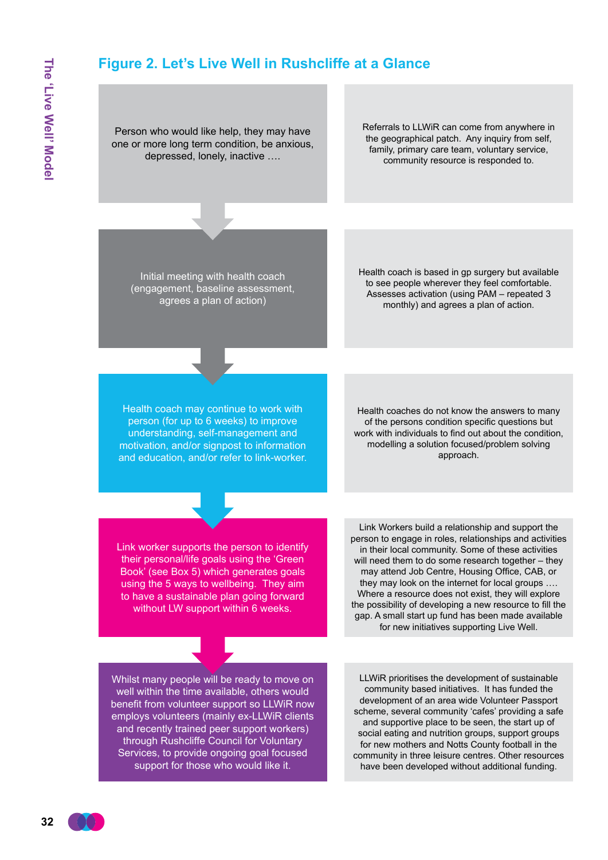#### **Figure 2. Let's Live Well in Rushcliffe at a Glance**

Person who would like help, they may have one or more long term condition, be anxious, depressed, lonely, inactive ….

Referrals to LLWiR can come from anywhere in the geographical patch. Any inquiry from self, family, primary care team, voluntary service, community resource is responded to.

Initial meeting with health coach (engagement, baseline assessment, agrees a plan of action)

Health coach is based in gp surgery but available to see people wherever they feel comfortable. Assesses activation (using PAM – repeated 3 monthly) and agrees a plan of action.

Health coach may continue to work with person (for up to 6 weeks) to improve understanding, self-management and motivation, and/or signpost to information and education, and/or refer to link-worker.

Health coaches do not know the answers to many of the persons condition specific questions but work with individuals to find out about the condition, modelling a solution focused/problem solving approach.

Link worker supports the person to identify their personal/life goals using the 'Green Book' (see Box 5) which generates goals using the 5 ways to wellbeing. They aim to have a sustainable plan going forward without LW support within 6 weeks.

Link Workers build a relationship and support the person to engage in roles, relationships and activities in their local community. Some of these activities will need them to do some research together – they may attend Job Centre, Housing Office, CAB, or they may look on the internet for local groups …. Where a resource does not exist, they will explore the possibility of developing a new resource to fill the gap. A small start up fund has been made available for new initiatives supporting Live Well.

Whilst many people will be ready to move on well within the time available, others would benefit from volunteer support so LLWiR now employs volunteers (mainly ex-LLWiR clients and recently trained peer support workers) through Rushcliffe Council for Voluntary Services, to provide ongoing goal focused support for those who would like it.

LLWiR prioritises the development of sustainable community based initiatives. It has funded the development of an area wide Volunteer Passport scheme, several community 'cafes' providing a safe and supportive place to be seen, the start up of social eating and nutrition groups, support groups for new mothers and Notts County football in the community in three leisure centres. Other resources have been developed without additional funding.

32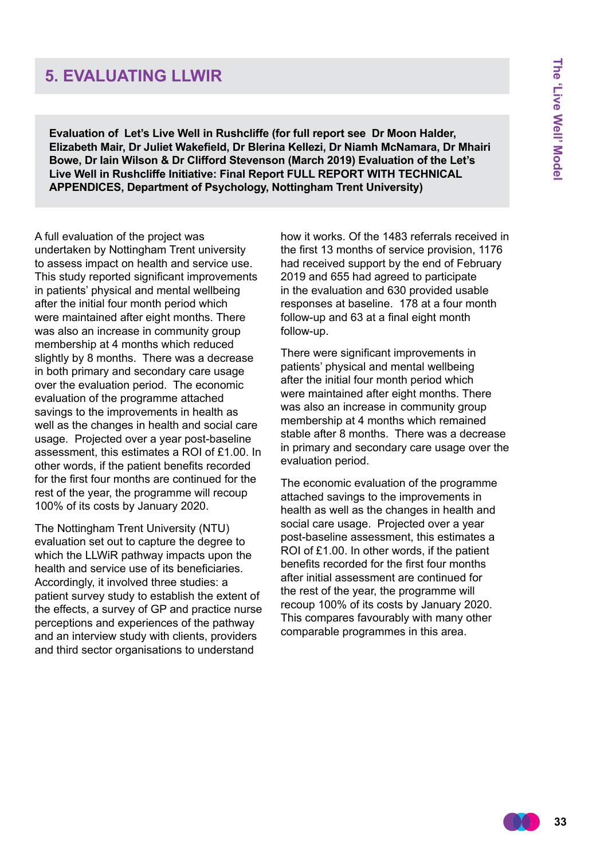# **5. Evaluating LLWiR**

**Evaluation of Let's Live Well in Rushcliffe (for full report see Dr Moon Halder, Elizabeth Mair, Dr Juliet Wakefield, Dr Blerina Kellezi, Dr Niamh McNamara, Dr Mhairi Bowe, Dr Iain Wilson & Dr Clifford Stevenson (March 2019) Evaluation of the Let's Live Well in Rushcliffe Initiative: Final Report FULL REPORT WITH TECHNICAL APPENDICES, Department of Psychology, Nottingham Trent University)**

A full evaluation of the project was undertaken by Nottingham Trent university to assess impact on health and service use. This study reported significant improvements in patients' physical and mental wellbeing after the initial four month period which were maintained after eight months. There was also an increase in community group membership at 4 months which reduced slightly by 8 months. There was a decrease in both primary and secondary care usage over the evaluation period. The economic evaluation of the programme attached savings to the improvements in health as well as the changes in health and social care usage. Projected over a year post-baseline assessment, this estimates a ROI of £1.00. In other words, if the patient benefits recorded for the first four months are continued for the rest of the year, the programme will recoup 100% of its costs by January 2020.

The Nottingham Trent University (NTU) evaluation set out to capture the degree to which the LLWiR pathway impacts upon the health and service use of its beneficiaries. Accordingly, it involved three studies: a patient survey study to establish the extent of the effects, a survey of GP and practice nurse perceptions and experiences of the pathway and an interview study with clients, providers and third sector organisations to understand

how it works. Of the 1483 referrals received in the first 13 months of service provision, 1176 had received support by the end of February 2019 and 655 had agreed to participate in the evaluation and 630 provided usable responses at baseline. 178 at a four month follow-up and 63 at a final eight month follow-up.

There were significant improvements in patients' physical and mental wellbeing after the initial four month period which were maintained after eight months. There was also an increase in community group membership at 4 months which remained stable after 8 months. There was a decrease in primary and secondary care usage over the evaluation period.

The economic evaluation of the programme attached savings to the improvements in health as well as the changes in health and social care usage. Projected over a year post-baseline assessment, this estimates a ROI of £1.00. In other words, if the patient benefits recorded for the first four months after initial assessment are continued for the rest of the year, the programme will recoup 100% of its costs by January 2020. This compares favourably with many other comparable programmes in this area.

33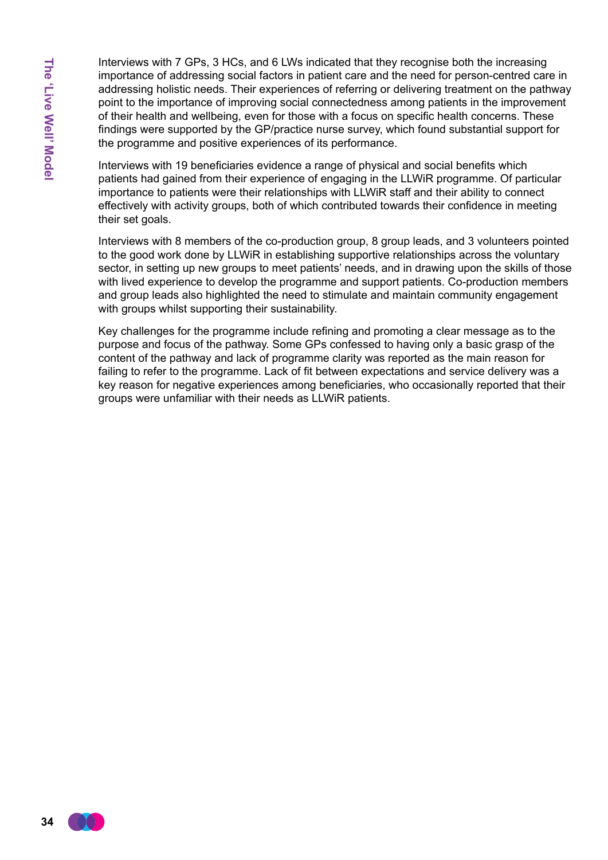Interviews with 7 GPs, 3 HCs, and 6 LWs indicated that they recognise both the increasing importance of addressing social factors in patient care and the need for person-centred care in addressing holistic needs. Their experiences of referring or delivering treatment on the pathway point to the importance of improving social connectedness among patients in the improvement of their health and wellbeing, even for those with a focus on specific health concerns. These findings were supported by the GP/practice nurse survey, which found substantial support for the programme and positive experiences of its performance.

Interviews with 19 beneficiaries evidence a range of physical and social benefits which patients had gained from their experience of engaging in the LLWiR programme. Of particular importance to patients were their relationships with LLWiR staff and their ability to connect effectively with activity groups, both of which contributed towards their confidence in meeting their set goals.

Interviews with 8 members of the co-production group, 8 group leads, and 3 volunteers pointed to the good work done by LLWiR in establishing supportive relationships across the voluntary sector, in setting up new groups to meet patients' needs, and in drawing upon the skills of those with lived experience to develop the programme and support patients. Co-production members and group leads also highlighted the need to stimulate and maintain community engagement with groups whilst supporting their sustainability.

Key challenges for the programme include refining and promoting a clear message as to the purpose and focus of the pathway. Some GPs confessed to having only a basic grasp of the content of the pathway and lack of programme clarity was reported as the main reason for failing to refer to the programme. Lack of fit between expectations and service delivery was a key reason for negative experiences among beneficiaries, who occasionally reported that their groups were unfamiliar with their needs as LLWiR patients.